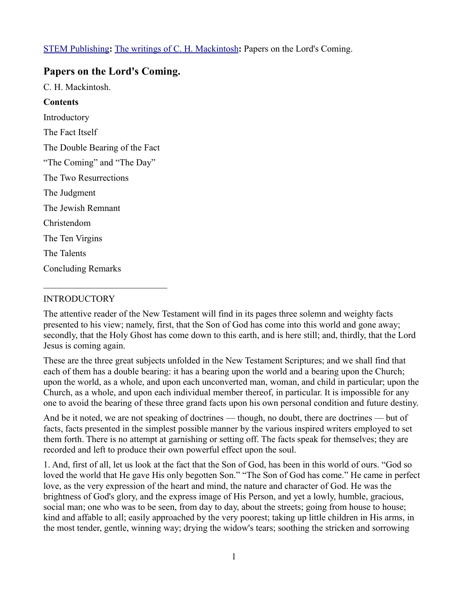[STEM Publishing](http://www.stempublishing.com/)**:** [The writings of C. H. Mackintosh](http://www.stempublishing.com/authors/mackintosh/index.html)**:** Papers on the Lord's Coming.

# **Papers on the Lord's Coming.**

C. H. Mackintosh.

## **Contents**

Introductory The Fact Itself The Double Bearing of the Fact "The Coming" and "The Day" The Two Resurrections The Judgment The Jewish Remnant Christendom The Ten Virgins The Talents Concluding Remarks

\_\_\_\_\_\_\_\_\_\_\_\_\_\_\_\_\_\_\_\_\_\_\_\_\_\_\_

# INTRODUCTORY

The attentive reader of the New Testament will find in its pages three solemn and weighty facts presented to his view; namely, first, that the Son of God has come into this world and gone away; secondly, that the Holy Ghost has come down to this earth, and is here still; and, thirdly, that the Lord Jesus is coming again.

These are the three great subjects unfolded in the New Testament Scriptures; and we shall find that each of them has a double bearing: it has a bearing upon the world and a bearing upon the Church; upon the world, as a whole, and upon each unconverted man, woman, and child in particular; upon the Church, as a whole, and upon each individual member thereof, in particular. It is impossible for any one to avoid the bearing of these three grand facts upon his own personal condition and future destiny.

And be it noted, we are not speaking of doctrines — though, no doubt, there are doctrines — but of facts, facts presented in the simplest possible manner by the various inspired writers employed to set them forth. There is no attempt at garnishing or setting off. The facts speak for themselves; they are recorded and left to produce their own powerful effect upon the soul.

1. And, first of all, let us look at the fact that the Son of God, has been in this world of ours. "God so loved the world that He gave His only begotten Son." "The Son of God has come." He came in perfect love, as the very expression of the heart and mind, the nature and character of God. He was the brightness of God's glory, and the express image of His Person, and yet a lowly, humble, gracious, social man; one who was to be seen, from day to day, about the streets; going from house to house; kind and affable to all; easily approached by the very poorest; taking up little children in His arms, in the most tender, gentle, winning way; drying the widow's tears; soothing the stricken and sorrowing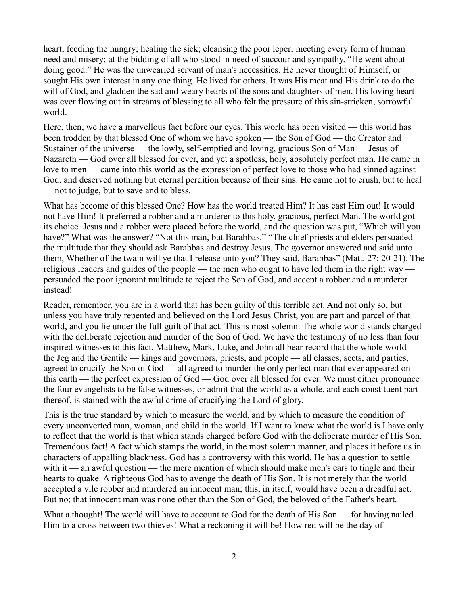heart; feeding the hungry; healing the sick; cleansing the poor leper; meeting every form of human need and misery; at the bidding of all who stood in need of succour and sympathy. "He went about doing good." He was the unwearied servant of man's necessities. He never thought of Himself, or sought His own interest in any one thing. He lived for others. It was His meat and His drink to do the will of God, and gladden the sad and weary hearts of the sons and daughters of men. His loving heart was ever flowing out in streams of blessing to all who felt the pressure of this sin-stricken, sorrowful world.

Here, then, we have a marvellous fact before our eyes. This world has been visited — this world has been trodden by that blessed One of whom we have spoken — the Son of God — the Creator and Sustainer of the universe — the lowly, self-emptied and loving, gracious Son of Man — Jesus of Nazareth — God over all blessed for ever, and yet a spotless, holy, absolutely perfect man. He came in love to men — came into this world as the expression of perfect love to those who had sinned against God, and deserved nothing but eternal perdition because of their sins. He came not to crush, but to heal — not to judge, but to save and to bless.

What has become of this blessed One? How has the world treated Him? It has cast Him out! It would not have Him! It preferred a robber and a murderer to this holy, gracious, perfect Man. The world got its choice. Jesus and a robber were placed before the world, and the question was put, "Which will you have?" What was the answer? "Not this man, but Barabbas." "The chief priests and elders persuaded the multitude that they should ask Barabbas and destroy Jesus. The governor answered and said unto them, Whether of the twain will ye that I release unto you? They said, Barabbas" (Matt. 27: 20-21). The religious leaders and guides of the people — the men who ought to have led them in the right way persuaded the poor ignorant multitude to reject the Son of God, and accept a robber and a murderer instead!

Reader, remember, you are in a world that has been guilty of this terrible act. And not only so, but unless you have truly repented and believed on the Lord Jesus Christ, you are part and parcel of that world, and you lie under the full guilt of that act. This is most solemn. The whole world stands charged with the deliberate rejection and murder of the Son of God. We have the testimony of no less than four inspired witnesses to this fact. Matthew, Mark, Luke, and John all bear record that the whole world the Jeg and the Gentile — kings and governors, priests, and people — all classes, sects, and parties, agreed to crucify the Son of God — all agreed to murder the only perfect man that ever appeared on this earth — the perfect expression of God — God over all blessed for ever. We must either pronounce the four evangelists to be false witnesses, or admit that the world as a whole, and each constituent part thereof, is stained with the awful crime of crucifying the Lord of glory.

This is the true standard by which to measure the world, and by which to measure the condition of every unconverted man, woman, and child in the world. If I want to know what the world is I have only to reflect that the world is that which stands charged before God with the deliberate murder of His Son. Tremendous fact! A fact which stamps the world, in the most solemn manner, and places it before us in characters of appalling blackness. God has a controversy with this world. He has a question to settle with it — an awful question — the mere mention of which should make men's ears to tingle and their hearts to quake. A righteous God has to avenge the death of His Son. It is not merely that the world accepted a vile robber and murdered an innocent man; this, in itself, would have been a dreadful act. But no; that innocent man was none other than the Son of God, the beloved of the Father's heart.

What a thought! The world will have to account to God for the death of His Son — for having nailed Him to a cross between two thieves! What a reckoning it will be! How red will be the day of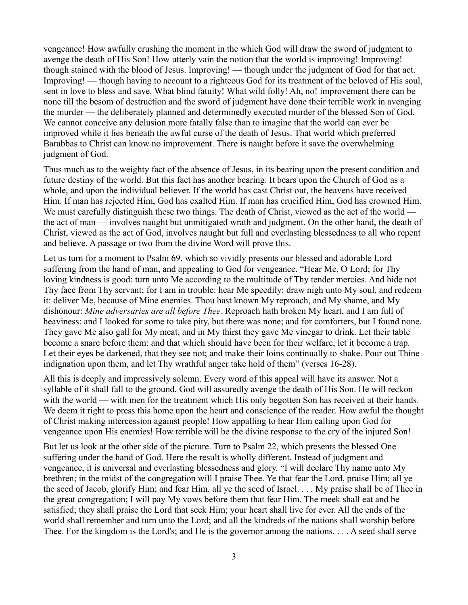vengeance! How awfully crushing the moment in the which God will draw the sword of judgment to avenge the death of His Son! How utterly vain the notion that the world is improving! Improving! though stained with the blood of Jesus. Improving! — though under the judgment of God for that act. Improving! — though having to account to a righteous God for its treatment of the beloved of His soul, sent in love to bless and save. What blind fatuity! What wild folly! Ah, no! improvement there can be none till the besom of destruction and the sword of judgment have done their terrible work in avenging the murder — the deliberately planned and determinedly executed murder of the blessed Son of God. We cannot conceive any delusion more fatally false than to imagine that the world can ever be improved while it lies beneath the awful curse of the death of Jesus. That world which preferred Barabbas to Christ can know no improvement. There is naught before it save the overwhelming judgment of God.

Thus much as to the weighty fact of the absence of Jesus, in its bearing upon the present condition and future destiny of the world. But this fact has another bearing. It bears upon the Church of God as a whole, and upon the individual believer. If the world has cast Christ out, the heavens have received Him. If man has rejected Him, God has exalted Him. If man has crucified Him, God has crowned Him. We must carefully distinguish these two things. The death of Christ, viewed as the act of the world the act of man — involves naught but unmitigated wrath and judgment. On the other hand, the death of Christ, viewed as the act of God, involves naught but full and everlasting blessedness to all who repent and believe. A passage or two from the divine Word will prove this.

Let us turn for a moment to Psalm 69, which so vividly presents our blessed and adorable Lord suffering from the hand of man, and appealing to God for vengeance. "Hear Me, O Lord; for Thy loving kindness is good: turn unto Me according to the multitude of Thy tender mercies. And hide not Thy face from Thy servant; for I am in trouble: hear Me speedily: draw nigh unto My soul, and redeem it: deliver Me, because of Mine enemies. Thou hast known My reproach, and My shame, and My dishonour: *Mine adversaries are all before Thee.* Reproach hath broken My heart, and I am full of heaviness: and I looked for some to take pity, but there was none; and for comforters, but I found none. They gave Me also gall for My meat, and in My thirst they gave Me vinegar to drink. Let their table become a snare before them: and that which should have been for their welfare, let it become a trap. Let their eyes be darkened, that they see not; and make their loins continually to shake. Pour out Thine indignation upon them, and let Thy wrathful anger take hold of them" (verses 16-28).

All this is deeply and impressively solemn. Every word of this appeal will have its answer. Not a syllable of it shall fall to the ground. God will assuredly avenge the death of His Son. He will reckon with the world — with men for the treatment which His only begotten Son has received at their hands. We deem it right to press this home upon the heart and conscience of the reader. How awful the thought of Christ making intercession against people! How appalling to hear Him calling upon God for vengeance upon His enemies! How terrible will be the divine response to the cry of the injured Son!

But let us look at the other side of the picture. Turn to Psalm 22, which presents the blessed One suffering under the hand of God. Here the result is wholly different. Instead of judgment and vengeance, it is universal and everlasting blessedness and glory. "I will declare Thy name unto My brethren; in the midst of the congregation will I praise Thee. Ye that fear the Lord, praise Him; all ye the seed of Jacob, glorify Him; and fear Him, all ye the seed of Israel. . . . My praise shall be of Thee in the great congregation; I will pay My vows before them that fear Him. The meek shall eat and be satisfied; they shall praise the Lord that seek Him; your heart shall live for ever. All the ends of the world shall remember and turn unto the Lord; and all the kindreds of the nations shall worship before Thee. For the kingdom is the Lord's; and He is the governor among the nations. . . . A seed shall serve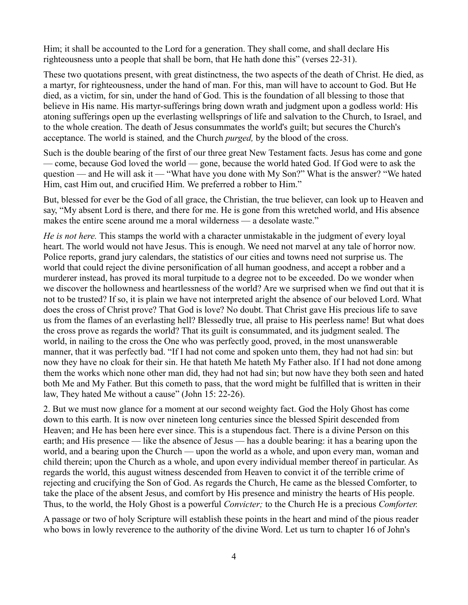Him; it shall be accounted to the Lord for a generation. They shall come, and shall declare His righteousness unto a people that shall be born, that He hath done this" (verses 22-31).

These two quotations present, with great distinctness, the two aspects of the death of Christ. He died, as a martyr, for righteousness, under the hand of man. For this, man will have to account to God. But He died, as a victim, for sin, under the hand of God. This is the foundation of all blessing to those that believe in His name. His martyr-sufferings bring down wrath and judgment upon a godless world: His atoning sufferings open up the everlasting wellsprings of life and salvation to the Church, to Israel, and to the whole creation. The death of Jesus consummates the world's guilt; but secures the Church's acceptance. The world is stained*,* and the Church *purged,* by the blood of the cross.

Such is the double bearing of the first of our three great New Testament facts. Jesus has come and gone — come, because God loved the world — gone, because the world hated God. If God were to ask the question — and He will ask it — "What have you done with My Son?" What is the answer? "We hated Him, cast Him out, and crucified Him. We preferred a robber to Him."

But, blessed for ever be the God of all grace, the Christian, the true believer, can look up to Heaven and say, "My absent Lord is there, and there for me. He is gone from this wretched world, and His absence makes the entire scene around me a moral wilderness — a desolate waste."

*He is not here.* This stamps the world with a character unmistakable in the judgment of every loyal heart. The world would not have Jesus. This is enough. We need not marvel at any tale of horror now. Police reports, grand jury calendars, the statistics of our cities and towns need not surprise us. The world that could reject the divine personification of all human goodness, and accept a robber and a murderer instead, has proved its moral turpitude to a degree not to be exceeded. Do we wonder when we discover the hollowness and heartlessness of the world? Are we surprised when we find out that it is not to be trusted? If so, it is plain we have not interpreted aright the absence of our beloved Lord. What does the cross of Christ prove? That God is love? No doubt. That Christ gave His precious life to save us from the flames of an everlasting hell? Blessedly true, all praise to His peerless name! But what does the cross prove as regards the world? That its guilt is consummated, and its judgment sealed. The world, in nailing to the cross the One who was perfectly good, proved, in the most unanswerable manner, that it was perfectly bad. "If I had not come and spoken unto them, they had not had sin: but now they have no cloak for their sin. He that hateth Me hateth My Father also. If I had not done among them the works which none other man did, they had not had sin; but now have they both seen and hated both Me and My Father. But this cometh to pass, that the word might be fulfilled that is written in their law, They hated Me without a cause" (John 15: 22-26).

2. But we must now glance for a moment at our second weighty fact. God the Holy Ghost has come down to this earth. It is now over nineteen long centuries since the blessed Spirit descended from Heaven; and He has been here ever since. This is a stupendous fact. There is a divine Person on this earth; and His presence — like the absence of Jesus — has a double bearing: it has a bearing upon the world, and a bearing upon the Church — upon the world as a whole, and upon every man, woman and child therein; upon the Church as a whole, and upon every individual member thereof in particular. As regards the world, this august witness descended from Heaven to convict it of the terrible crime of rejecting and crucifying the Son of God. As regards the Church, He came as the blessed Comforter, to take the place of the absent Jesus, and comfort by His presence and ministry the hearts of His people. Thus, to the world, the Holy Ghost is a powerful *Convicter;* to the Church He is a precious *Comforter.*

A passage or two of holy Scripture will establish these points in the heart and mind of the pious reader who bows in lowly reverence to the authority of the divine Word. Let us turn to chapter 16 of John's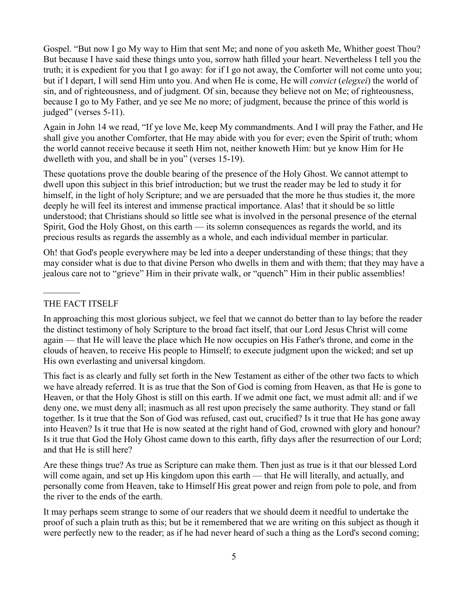Gospel. "But now I go My way to Him that sent Me; and none of you asketh Me, Whither goest Thou? But because I have said these things unto you, sorrow hath filled your heart. Nevertheless I tell you the truth; it is expedient for you that I go away: for if I go not away, the Comforter will not come unto you; but if I depart, I will send Him unto you. And when He is come, He will *convict* (*elegxei*) the world of sin, and of righteousness, and of judgment. Of sin, because they believe not on Me; of righteousness, because I go to My Father, and ye see Me no more; of judgment, because the prince of this world is judged" (verses 5-11).

Again in John 14 we read, "If ye love Me, keep My commandments. And I will pray the Father, and He shall give you another Comforter, that He may abide with you for ever; even the Spirit of truth; whom the world cannot receive because it seeth Him not, neither knoweth Him: but ye know Him for He dwelleth with you, and shall be in you" (verses 15-19).

These quotations prove the double bearing of the presence of the Holy Ghost. We cannot attempt to dwell upon this subject in this brief introduction; but we trust the reader may be led to study it for himself, in the light of holy Scripture; and we are persuaded that the more he thus studies it, the more deeply he will feel its interest and immense practical importance. Alas! that it should be so little understood; that Christians should so little see what is involved in the personal presence of the eternal Spirit, God the Holy Ghost, on this earth — its solemn consequences as regards the world, and its precious results as regards the assembly as a whole, and each individual member in particular.

Oh! that God's people everywhere may be led into a deeper understanding of these things; that they may consider what is due to that divine Person who dwells in them and with them; that they may have a jealous care not to "grieve" Him in their private walk, or "quench" Him in their public assemblies!

## THE FACT ITSELF

 $\frac{1}{2}$ 

In approaching this most glorious subject, we feel that we cannot do better than to lay before the reader the distinct testimony of holy Scripture to the broad fact itself, that our Lord Jesus Christ will come again — that He will leave the place which He now occupies on His Father's throne, and come in the clouds of heaven, to receive His people to Himself; to execute judgment upon the wicked; and set up His own everlasting and universal kingdom.

This fact is as clearly and fully set forth in the New Testament as either of the other two facts to which we have already referred. It is as true that the Son of God is coming from Heaven, as that He is gone to Heaven, or that the Holy Ghost is still on this earth. If we admit one fact, we must admit all: and if we deny one, we must deny all; inasmuch as all rest upon precisely the same authority. They stand or fall together. Is it true that the Son of God was refused, cast out, crucified? Is it true that He has gone away into Heaven? Is it true that He is now seated at the right hand of God, crowned with glory and honour? Is it true that God the Holy Ghost came down to this earth, fifty days after the resurrection of our Lord; and that He is still here?

Are these things true? As true as Scripture can make them. Then just as true is it that our blessed Lord will come again, and set up His kingdom upon this earth — that He will literally, and actually, and personally come from Heaven, take to Himself His great power and reign from pole to pole, and from the river to the ends of the earth.

It may perhaps seem strange to some of our readers that we should deem it needful to undertake the proof of such a plain truth as this; but be it remembered that we are writing on this subject as though it were perfectly new to the reader; as if he had never heard of such a thing as the Lord's second coming;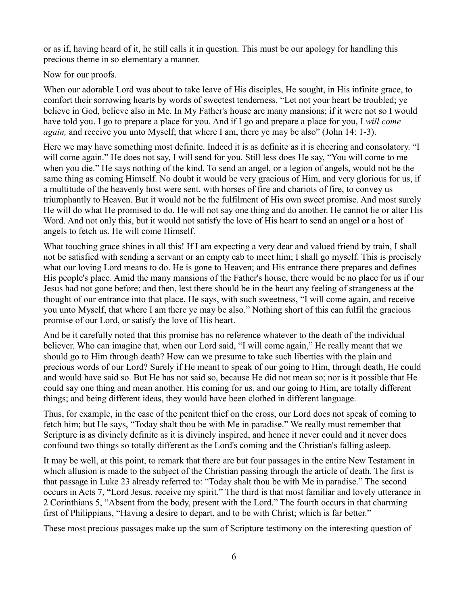or as if, having heard of it, he still calls it in question. This must be our apology for handling this precious theme in so elementary a manner.

Now for our proofs.

When our adorable Lord was about to take leave of His disciples, He sought, in His infinite grace, to comfort their sorrowing hearts by words of sweetest tenderness. "Let not your heart be troubled; ye believe in God, believe also in Me. In My Father's house are many mansions; if it were not so I would have told you. I go to prepare a place for you. And if I go and prepare a place for you, I *will come again*, and receive you unto Myself; that where I am, there ye may be also" (John 14: 1-3).

Here we may have something most definite. Indeed it is as definite as it is cheering and consolatory. "I will come again." He does not say, I will send for you. Still less does He say, "You will come to me when you die." He says nothing of the kind. To send an angel, or a legion of angels, would not be the same thing as coming Himself. No doubt it would be very gracious of Him, and very glorious for us, if a multitude of the heavenly host were sent, with horses of fire and chariots of fire, to convey us triumphantly to Heaven. But it would not be the fulfilment of His own sweet promise. And most surely He will do what He promised to do. He will not say one thing and do another. He cannot lie or alter His Word. And not only this, but it would not satisfy the love of His heart to send an angel or a host of angels to fetch us. He will come Himself.

What touching grace shines in all this! If I am expecting a very dear and valued friend by train, I shall not be satisfied with sending a servant or an empty cab to meet him; I shall go myself. This is precisely what our loving Lord means to do. He is gone to Heaven; and His entrance there prepares and defines His people's place. Amid the many mansions of the Father's house, there would be no place for us if our Jesus had not gone before; and then, lest there should be in the heart any feeling of strangeness at the thought of our entrance into that place, He says, with such sweetness, "I will come again, and receive you unto Myself, that where I am there ye may be also." Nothing short of this can fulfil the gracious promise of our Lord, or satisfy the love of His heart.

And be it carefully noted that this promise has no reference whatever to the death of the individual believer. Who can imagine that, when our Lord said, "I will come again," He really meant that we should go to Him through death? How can we presume to take such liberties with the plain and precious words of our Lord? Surely if He meant to speak of our going to Him, through death, He could and would have said so. But He has not said so, because He did not mean so; nor is it possible that He could say one thing and mean another. His coming for us, and our going to Him, are totally different things; and being different ideas, they would have been clothed in different language.

Thus, for example, in the case of the penitent thief on the cross, our Lord does not speak of coming to fetch him; but He says, "Today shalt thou be with Me in paradise." We really must remember that Scripture is as divinely definite as it is divinely inspired, and hence it never could and it never does confound two things so totally different as the Lord's coming and the Christian's falling asleep.

It may be well, at this point, to remark that there are but four passages in the entire New Testament in which allusion is made to the subject of the Christian passing through the article of death. The first is that passage in Luke 23 already referred to: "Today shalt thou be with Me in paradise." The second occurs in Acts 7, "Lord Jesus, receive my spirit." The third is that most familiar and lovely utterance in 2 Corinthians 5, "Absent from the body, present with the Lord." The fourth occurs in that charming first of Philippians, "Having a desire to depart, and to be with Christ; which is far better."

These most precious passages make up the sum of Scripture testimony on the interesting question of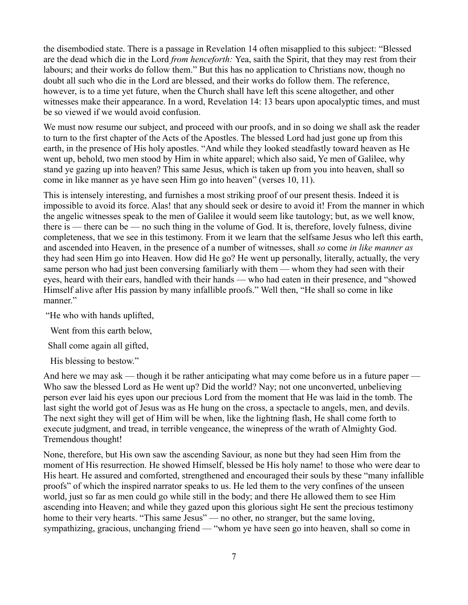the disembodied state. There is a passage in Revelation 14 often misapplied to this subject: "Blessed are the dead which die in the Lord *from henceforth:* Yea, saith the Spirit, that they may rest from their labours; and their works do follow them." But this has no application to Christians now, though no doubt all such who die in the Lord are blessed, and their works do follow them. The reference, however, is to a time yet future, when the Church shall have left this scene altogether, and other witnesses make their appearance. In a word, Revelation 14: 13 bears upon apocalyptic times, and must be so viewed if we would avoid confusion.

We must now resume our subject, and proceed with our proofs, and in so doing we shall ask the reader to turn to the first chapter of the Acts of the Apostles. The blessed Lord had just gone up from this earth, in the presence of His holy apostles. "And while they looked steadfastly toward heaven as He went up, behold, two men stood by Him in white apparel; which also said, Ye men of Galilee, why stand ye gazing up into heaven? This same Jesus, which is taken up from you into heaven, shall so come in like manner as ye have seen Him go into heaven" (verses 10, 11).

This is intensely interesting, and furnishes a most striking proof of our present thesis. Indeed it is impossible to avoid its force. Alas! that any should seek or desire to avoid it! From the manner in which the angelic witnesses speak to the men of Galilee it would seem like tautology; but, as we well know, there is — there can be — no such thing in the volume of God. It is, therefore, lovely fulness, divine completeness, that we see in this testimony. From it we learn that the selfsame Jesus who left this earth, and ascended into Heaven, in the presence of a number of witnesses, shall *so* come *in like manner as* they had seen Him go into Heaven. How did He go? He went up personally, literally, actually, the very same person who had just been conversing familiarly with them — whom they had seen with their eyes, heard with their ears, handled with their hands — who had eaten in their presence, and "showed Himself alive after His passion by many infallible proofs." Well then, "He shall so come in like manner."

"He who with hands uplifted,

Went from this earth below,

Shall come again all gifted,

His blessing to bestow."

And here we may ask — though it be rather anticipating what may come before us in a future paper — Who saw the blessed Lord as He went up? Did the world? Nay; not one unconverted, unbelieving person ever laid his eyes upon our precious Lord from the moment that He was laid in the tomb. The last sight the world got of Jesus was as He hung on the cross, a spectacle to angels, men, and devils. The next sight they will get of Him will be when, like the lightning flash, He shall come forth to execute judgment, and tread, in terrible vengeance, the winepress of the wrath of Almighty God. Tremendous thought!

None, therefore, but His own saw the ascending Saviour, as none but they had seen Him from the moment of His resurrection. He showed Himself, blessed be His holy name! to those who were dear to His heart. He assured and comforted, strengthened and encouraged their souls by these "many infallible proofs" of which the inspired narrator speaks to us. He led them to the very confines of the unseen world, just so far as men could go while still in the body; and there He allowed them to see Him ascending into Heaven; and while they gazed upon this glorious sight He sent the precious testimony home to their very hearts. "This same Jesus" — no other, no stranger, but the same loving, sympathizing, gracious, unchanging friend — "whom ye have seen go into heaven, shall so come in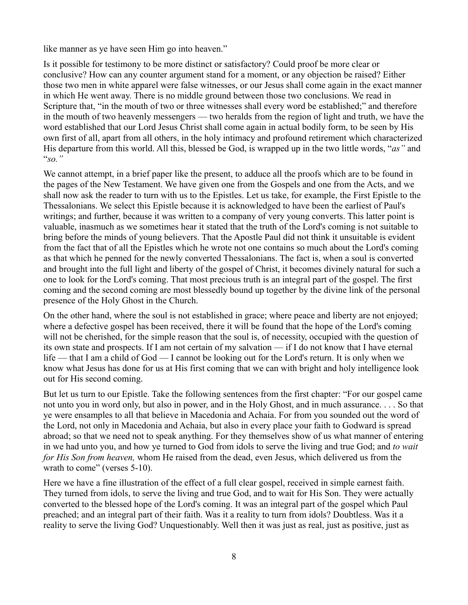like manner as ye have seen Him go into heaven."

Is it possible for testimony to be more distinct or satisfactory? Could proof be more clear or conclusive? How can any counter argument stand for a moment, or any objection be raised? Either those two men in white apparel were false witnesses, or our Jesus shall come again in the exact manner in which He went away. There is no middle ground between those two conclusions. We read in Scripture that, "in the mouth of two or three witnesses shall every word be established;" and therefore in the mouth of two heavenly messengers — two heralds from the region of light and truth, we have the word established that our Lord Jesus Christ shall come again in actual bodily form, to be seen by His own first of all, apart from all others, in the holy intimacy and profound retirement which characterized His departure from this world. All this, blessed be God, is wrapped up in the two little words, "*as"* and "*so."*

We cannot attempt, in a brief paper like the present, to adduce all the proofs which are to be found in the pages of the New Testament. We have given one from the Gospels and one from the Acts, and we shall now ask the reader to turn with us to the Epistles. Let us take, for example, the First Epistle to the Thessalonians. We select this Epistle because it is acknowledged to have been the earliest of Paul's writings; and further, because it was written to a company of very young converts. This latter point is valuable, inasmuch as we sometimes hear it stated that the truth of the Lord's coming is not suitable to bring before the minds of young believers. That the Apostle Paul did not think it unsuitable is evident from the fact that of all the Epistles which he wrote not one contains so much about the Lord's coming as that which he penned for the newly converted Thessalonians. The fact is, when a soul is converted and brought into the full light and liberty of the gospel of Christ, it becomes divinely natural for such a one to look for the Lord's coming. That most precious truth is an integral part of the gospel. The first coming and the second coming are most blessedly bound up together by the divine link of the personal presence of the Holy Ghost in the Church.

On the other hand, where the soul is not established in grace; where peace and liberty are not enjoyed; where a defective gospel has been received, there it will be found that the hope of the Lord's coming will not be cherished, for the simple reason that the soul is, of necessity, occupied with the question of its own state and prospects. If I am not certain of my salvation — if I do not know that I have eternal life — that I am a child of God — I cannot be looking out for the Lord's return. It is only when we know what Jesus has done for us at His first coming that we can with bright and holy intelligence look out for His second coming.

But let us turn to our Epistle. Take the following sentences from the first chapter: "For our gospel came not unto you in word only, but also in power, and in the Holy Ghost, and in much assurance. . . . So that ye were ensamples to all that believe in Macedonia and Achaia. For from you sounded out the word of the Lord, not only in Macedonia and Achaia, but also in every place your faith to Godward is spread abroad; so that we need not to speak anything. For they themselves show of us what manner of entering in we had unto you, and how ye turned to God from idols to serve the living and true God; and *to wait for His Son from heaven,* whom He raised from the dead, even Jesus, which delivered us from the wrath to come" (verses 5-10).

Here we have a fine illustration of the effect of a full clear gospel, received in simple earnest faith. They turned from idols, to serve the living and true God, and to wait for His Son. They were actually converted to the blessed hope of the Lord's coming. It was an integral part of the gospel which Paul preached; and an integral part of their faith. Was it a reality to turn from idols? Doubtless. Was it a reality to serve the living God? Unquestionably. Well then it was just as real, just as positive, just as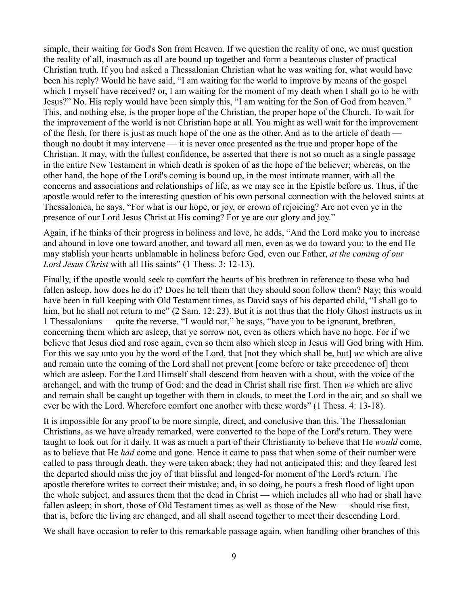simple, their waiting for God's Son from Heaven. If we question the reality of one, we must question the reality of all, inasmuch as all are bound up together and form a beauteous cluster of practical Christian truth. If you had asked a Thessalonian Christian what he was waiting for, what would have been his reply? Would he have said, "I am waiting for the world to improve by means of the gospel which I myself have received? or, I am waiting for the moment of my death when I shall go to be with Jesus?" No. His reply would have been simply this, "I am waiting for the Son of God from heaven." This, and nothing else, is the proper hope of the Christian, the proper hope of the Church. To wait for the improvement of the world is not Christian hope at all. You might as well wait for the improvement of the flesh, for there is just as much hope of the one as the other. And as to the article of death though no doubt it may intervene — it is never once presented as the true and proper hope of the Christian. It may, with the fullest confidence, be asserted that there is not so much as a single passage in the entire New Testament in which death is spoken of as the hope of the believer; whereas, on the other hand, the hope of the Lord's coming is bound up, in the most intimate manner, with all the concerns and associations and relationships of life, as we may see in the Epistle before us. Thus, if the apostle would refer to the interesting question of his own personal connection with the beloved saints at Thessalonica, he says, "For what is our hope, or joy, or crown of rejoicing? Are not even ye in the presence of our Lord Jesus Christ at His coming? For ye are our glory and joy."

Again, if he thinks of their progress in holiness and love, he adds, "And the Lord make you to increase and abound in love one toward another, and toward all men, even as we do toward you; to the end He may stablish your hearts unblamable in holiness before God, even our Father, *at the coming of our Lord Jesus Christ* with all His saints" (1 Thess. 3: 12-13).

Finally, if the apostle would seek to comfort the hearts of his brethren in reference to those who had fallen asleep, how does he do it? Does he tell them that they should soon follow them? Nay; this would have been in full keeping with Old Testament times, as David says of his departed child, "I shall go to him, but he shall not return to me" (2 Sam. 12: 23). But it is not thus that the Holy Ghost instructs us in 1 Thessalonians — quite the reverse. "I would not," he says, "have you to be ignorant, brethren, concerning them which are asleep, that ye sorrow not, even as others which have no hope. For if we believe that Jesus died and rose again, even so them also which sleep in Jesus will God bring with Him. For this we say unto you by the word of the Lord, that [not they which shall be, but] *we* which are alive and remain unto the coming of the Lord shall not prevent [come before or take precedence of] them which are asleep. For the Lord Himself shall descend from heaven with a shout, with the voice of the archangel, and with the trump of God: and the dead in Christ shall rise first. Then *we* which are alive and remain shall be caught up together with them in clouds, to meet the Lord in the air; and so shall we ever be with the Lord. Wherefore comfort one another with these words" (1 Thess. 4: 13-18).

It is impossible for any proof to be more simple, direct, and conclusive than this. The Thessalonian Christians, as we have already remarked, were converted to the hope of the Lord's return. They were taught to look out for it daily. It was as much a part of their Christianity to believe that He *would* come, as to believe that He *had* come and gone. Hence it came to pass that when some of their number were called to pass through death, they were taken aback; they had not anticipated this; and they feared lest the departed should miss the joy of that blissful and longed-for moment of the Lord's return. The apostle therefore writes to correct their mistake; and, in so doing, he pours a fresh flood of light upon the whole subject, and assures them that the dead in Christ — which includes all who had or shall have fallen asleep; in short, those of Old Testament times as well as those of the New — should rise first, that is, before the living are changed, and all shall ascend together to meet their descending Lord.

We shall have occasion to refer to this remarkable passage again, when handling other branches of this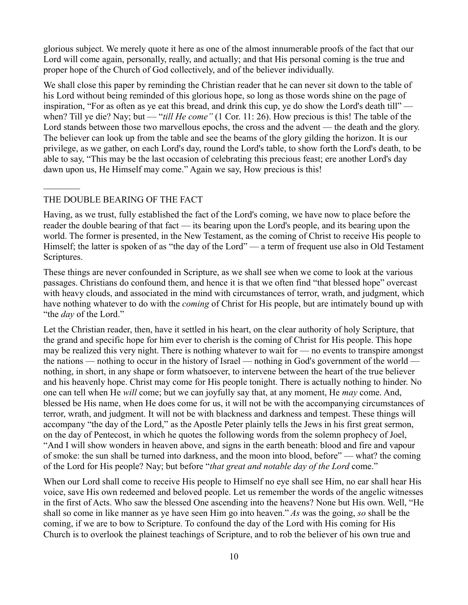glorious subject. We merely quote it here as one of the almost innumerable proofs of the fact that our Lord will come again, personally, really, and actually; and that His personal coming is the true and proper hope of the Church of God collectively, and of the believer individually.

We shall close this paper by reminding the Christian reader that he can never sit down to the table of his Lord without being reminded of this glorious hope, so long as those words shine on the page of inspiration, "For as often as ye eat this bread, and drink this cup, ye do show the Lord's death till" when? Till ye die? Nay; but — "*till He come"* (1 Cor. 11: 26). How precious is this! The table of the Lord stands between those two marvellous epochs, the cross and the advent — the death and the glory. The believer can look up from the table and see the beams of the glory gilding the horizon. It is our privilege, as we gather, on each Lord's day, round the Lord's table, to show forth the Lord's death, to be able to say, "This may be the last occasion of celebrating this precious feast; ere another Lord's day dawn upon us, He Himself may come." Again we say, How precious is this!

## THE DOUBLE BEARING OF THE FACT

 $\mathcal{L}_\text{max}$ 

Having, as we trust, fully established the fact of the Lord's coming, we have now to place before the reader the double bearing of that fact — its bearing upon the Lord's people, and its bearing upon the world. The former is presented, in the New Testament, as the coming of Christ to receive His people to Himself; the latter is spoken of as "the day of the Lord" — a term of frequent use also in Old Testament Scriptures.

These things are never confounded in Scripture, as we shall see when we come to look at the various passages. Christians do confound them, and hence it is that we often find "that blessed hope" overcast with heavy clouds, and associated in the mind with circumstances of terror, wrath, and judgment, which have nothing whatever to do with the *coming* of Christ for His people, but are intimately bound up with "the *day* of the Lord."

Let the Christian reader, then, have it settled in his heart, on the clear authority of holy Scripture, that the grand and specific hope for him ever to cherish is the coming of Christ for His people. This hope may be realized this very night. There is nothing whatever to wait for — no events to transpire amongst the nations — nothing to occur in the history of Israel — nothing in God's government of the world nothing, in short, in any shape or form whatsoever, to intervene between the heart of the true believer and his heavenly hope. Christ may come for His people tonight. There is actually nothing to hinder. No one can tell when He *will* come; but we can joyfully say that, at any moment, He *may* come. And, blessed be His name, when He does come for us, it will not be with the accompanying circumstances of terror, wrath, and judgment. It will not be with blackness and darkness and tempest. These things will accompany "the day of the Lord," as the Apostle Peter plainly tells the Jews in his first great sermon, on the day of Pentecost, in which he quotes the following words from the solemn prophecy of Joel, "And I will show wonders in heaven above, and signs in the earth beneath: blood and fire and vapour of smoke: the sun shall be turned into darkness, and the moon into blood, before" — what? the coming of the Lord for His people? Nay; but before "*that great and notable day of the Lord* come."

When our Lord shall come to receive His people to Himself no eye shall see Him, no ear shall hear His voice, save His own redeemed and beloved people. Let us remember the words of the angelic witnesses in the first of Acts. Who saw the blessed One ascending into the heavens? None but His own. Well, "He shall so come in like manner as ye have seen Him go into heaven." *As* was the going, *so* shall be the coming, if we are to bow to Scripture. To confound the day of the Lord with His coming for His Church is to overlook the plainest teachings of Scripture, and to rob the believer of his own true and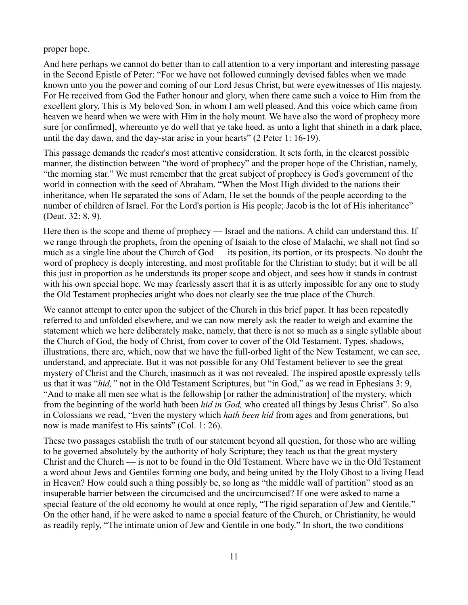proper hope.

And here perhaps we cannot do better than to call attention to a very important and interesting passage in the Second Epistle of Peter: "For we have not followed cunningly devised fables when we made known unto you the power and coming of our Lord Jesus Christ, but were eyewitnesses of His majesty. For He received from God the Father honour and glory, when there came such a voice to Him from the excellent glory, This is My beloved Son, in whom I am well pleased. And this voice which came from heaven we heard when we were with Him in the holy mount. We have also the word of prophecy more sure [or confirmed], whereunto ye do well that ye take heed, as unto a light that shineth in a dark place, until the day dawn, and the day-star arise in your hearts" (2 Peter 1: 16-19).

This passage demands the reader's most attentive consideration. It sets forth, in the clearest possible manner, the distinction between "the word of prophecy" and the proper hope of the Christian, namely, "the morning star." We must remember that the great subject of prophecy is God's government of the world in connection with the seed of Abraham. "When the Most High divided to the nations their inheritance, when He separated the sons of Adam, He set the bounds of the people according to the number of children of Israel. For the Lord's portion is His people; Jacob is the lot of His inheritance" (Deut. 32: 8, 9).

Here then is the scope and theme of prophecy — Israel and the nations. A child can understand this. If we range through the prophets, from the opening of Isaiah to the close of Malachi, we shall not find so much as a single line about the Church of God — its position, its portion, or its prospects. No doubt the word of prophecy is deeply interesting, and most profitable for the Christian to study; but it will be all this just in proportion as he understands its proper scope and object, and sees how it stands in contrast with his own special hope. We may fearlessly assert that it is as utterly impossible for any one to study the Old Testament prophecies aright who does not clearly see the true place of the Church.

We cannot attempt to enter upon the subject of the Church in this brief paper. It has been repeatedly referred to and unfolded elsewhere, and we can now merely ask the reader to weigh and examine the statement which we here deliberately make, namely, that there is not so much as a single syllable about the Church of God, the body of Christ, from cover to cover of the Old Testament. Types, shadows, illustrations, there are, which, now that we have the full-orbed light of the New Testament, we can see, understand, and appreciate. But it was not possible for any Old Testament believer to see the great mystery of Christ and the Church, inasmuch as it was not revealed. The inspired apostle expressly tells us that it was "*hid,"* not in the Old Testament Scriptures, but "in God," as we read in Ephesians 3: 9, "And to make all men see what is the fellowship [or rather the administration] of the mystery, which from the beginning of the world hath been *hid in God,* who created all things by Jesus Christ". So also in Colossians we read, "Even the mystery which *hath been hid* from ages and from generations, but now is made manifest to His saints" (Col. 1: 26).

These two passages establish the truth of our statement beyond all question, for those who are willing to be governed absolutely by the authority of holy Scripture; they teach us that the great mystery — Christ and the Church — is not to be found in the Old Testament. Where have we in the Old Testament a word about Jews and Gentiles forming one body, and being united by the Holy Ghost to a living Head in Heaven? How could such a thing possibly be, so long as "the middle wall of partition" stood as an insuperable barrier between the circumcised and the uncircumcised? If one were asked to name a special feature of the old economy he would at once reply, "The rigid separation of Jew and Gentile." On the other hand, if he were asked to name a special feature of the Church, or Christianity, he would as readily reply, "The intimate union of Jew and Gentile in one body." In short, the two conditions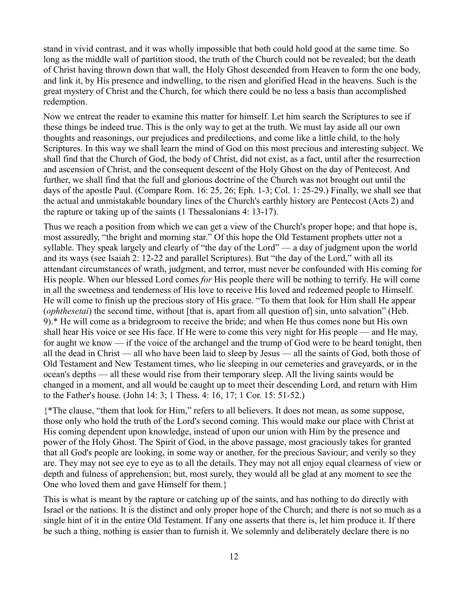stand in vivid contrast, and it was wholly impossible that both could hold good at the same time. So long as the middle wall of partition stood, the truth of the Church could not be revealed; but the death of Christ having thrown down that wall, the Holy Ghost descended from Heaven to form the one body, and link it, by His presence and indwelling, to the risen and glorified Head in the heavens. Such is the great mystery of Christ and the Church, for which there could be no less a basis than accomplished redemption.

Now we entreat the reader to examine this matter for himself. Let him search the Scriptures to see if these things be indeed true. This is the only way to get at the truth. We must lay aside all our own thoughts and reasonings, our prejudices and predilections, and come like a little child, to the holy Scriptures. In this way we shall learn the mind of God on this most precious and interesting subject. We shall find that the Church of God, the body of Christ, did not exist, as a fact, until after the resurrection and ascension of Christ, and the consequent descent of the Holy Ghost on the day of Pentecost. And further, we shall find that the full and glorious doctrine of the Church was not brought out until the days of the apostle Paul. (Compare Rom. 16: 25, 26; Eph. 1-3; Col. 1: 25-29.) Finally, we shall see that the actual and unmistakable boundary lines of the Church's earthly history are Pentecost (Acts 2) and the rapture or taking up of the saints (1 Thessalonians 4: 13-17).

Thus we reach a position from which we can get a view of the Church's proper hope; and that hope is, most assuredly, "the bright and morning star." Of this hope the Old Testament prophets utter not a syllable. They speak largely and clearly of "the day of the Lord" — a day of judgment upon the world and its ways (see Isaiah 2: 12-22 and parallel Scriptures). But "the day of the Lord," with all its attendant circumstances of wrath, judgment, and terror, must never be confounded with His coming for His people. When our blessed Lord comes *for* His people there will be nothing to terrify. He will come in all the sweetness and tenderness of His love to receive His loved and redeemed people to Himself. He will come to finish up the precious story of His grace. "To them that look for Him shall He appear (*ophthesetai*) the second time, without [that is, apart from all question of] sin, unto salvation" (Heb. 9).\* He will come as a bridegroom to receive the bride; and when He thus comes none but His own shall hear His voice or see His face. If He were to come this very night for His people — and He may, for aught we know — if the voice of the archangel and the trump of God were to be heard tonight, then all the dead in Christ — all who have been laid to sleep by Jesus — all the saints of God, both those of Old Testament and New Testament times, who lie sleeping in our cemeteries and graveyards, or in the ocean's depths — all these would rise from their temporary sleep. All the living saints would be changed in a moment, and all would be caught up to meet their descending Lord, and return with Him to the Father's house. (John 14: 3; 1 Thess. 4: 16, 17; 1 Cor. 15: 51-52.)

{\*The clause, "them that look for Him," refers to all believers. It does not mean, as some suppose, those only who hold the truth of the Lord's second coming. This would make our place with Christ at His coming dependent upon knowledge, instead of upon our union with Him by the presence and power of the Holy Ghost. The Spirit of God, in the above passage, most graciously takes for granted that all God's people are looking, in some way or another, for the precious Saviour; and verily so they are. They may not see eye to eye as to all the details. They may not all enjoy equal clearness of view or depth and fulness of apprehension; but, most surely, they would all be glad at any moment to see the One who loved them and gave Himself for them.}

This is what is meant by the rapture or catching up of the saints, and has nothing to do directly with Israel or the nations. It is the distinct and only proper hope of the Church; and there is not so much as a single hint of it in the entire Old Testament. If any one asserts that there is, let him produce it. If there be such a thing, nothing is easier than to furnish it. We solemnly and deliberately declare there is no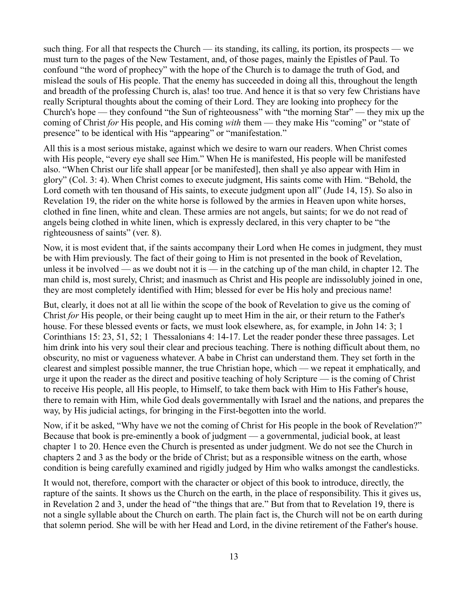such thing. For all that respects the Church — its standing, its calling, its portion, its prospects — we must turn to the pages of the New Testament, and, of those pages, mainly the Epistles of Paul. To confound "the word of prophecy" with the hope of the Church is to damage the truth of God, and mislead the souls of His people. That the enemy has succeeded in doing all this, throughout the length and breadth of the professing Church is, alas! too true. And hence it is that so very few Christians have really Scriptural thoughts about the coming of their Lord. They are looking into prophecy for the Church's hope — they confound "the Sun of righteousness" with "the morning Star" — they mix up the coming of Christ *for* His people, and His coming *with* them — they make His "coming" or "state of presence" to be identical with His "appearing" or "manifestation."

All this is a most serious mistake, against which we desire to warn our readers. When Christ comes with His people, "every eye shall see Him." When He is manifested, His people will be manifested also. "When Christ our life shall appear [or be manifested], then shall ye also appear with Him in glory" (Col. 3: 4). When Christ comes to execute judgment, His saints come with Him. "Behold, the Lord cometh with ten thousand of His saints, to execute judgment upon all" (Jude 14, 15). So also in Revelation 19, the rider on the white horse is followed by the armies in Heaven upon white horses, clothed in fine linen, white and clean. These armies are not angels, but saints; for we do not read of angels being clothed in white linen, which is expressly declared, in this very chapter to be "the righteousness of saints" (ver. 8).

Now, it is most evident that, if the saints accompany their Lord when He comes in judgment, they must be with Him previously. The fact of their going to Him is not presented in the book of Revelation, unless it be involved — as we doubt not it is — in the catching up of the man child, in chapter 12. The man child is, most surely, Christ; and inasmuch as Christ and His people are indissolubly joined in one, they are most completely identified with Him; blessed for ever be His holy and precious name!

But, clearly, it does not at all lie within the scope of the book of Revelation to give us the coming of Christ *for* His people, or their being caught up to meet Him in the air, or their return to the Father's house. For these blessed events or facts, we must look elsewhere, as, for example, in John 14: 3; 1 Corinthians 15: 23, 51, 52; 1 Thessalonians 4: 14-17. Let the reader ponder these three passages. Let him drink into his very soul their clear and precious teaching. There is nothing difficult about them, no obscurity, no mist or vagueness whatever. A babe in Christ can understand them. They set forth in the clearest and simplest possible manner, the true Christian hope, which — we repeat it emphatically, and urge it upon the reader as the direct and positive teaching of holy Scripture — is the coming of Christ to receive His people, all His people, to Himself, to take them back with Him to His Father's house, there to remain with Him, while God deals governmentally with Israel and the nations, and prepares the way, by His judicial actings, for bringing in the First-begotten into the world.

Now, if it be asked, "Why have we not the coming of Christ for His people in the book of Revelation?" Because that book is pre-eminently a book of judgment — a governmental, judicial book, at least chapter 1 to 20. Hence even the Church is presented as under judgment. We do not see the Church in chapters 2 and 3 as the body or the bride of Christ; but as a responsible witness on the earth, whose condition is being carefully examined and rigidly judged by Him who walks amongst the candlesticks.

It would not, therefore, comport with the character or object of this book to introduce, directly, the rapture of the saints. It shows us the Church on the earth, in the place of responsibility. This it gives us, in Revelation 2 and 3, under the head of "the things that are." But from that to Revelation 19, there is not a single syllable about the Church on earth. The plain fact is, the Church will not be on earth during that solemn period. She will be with her Head and Lord, in the divine retirement of the Father's house.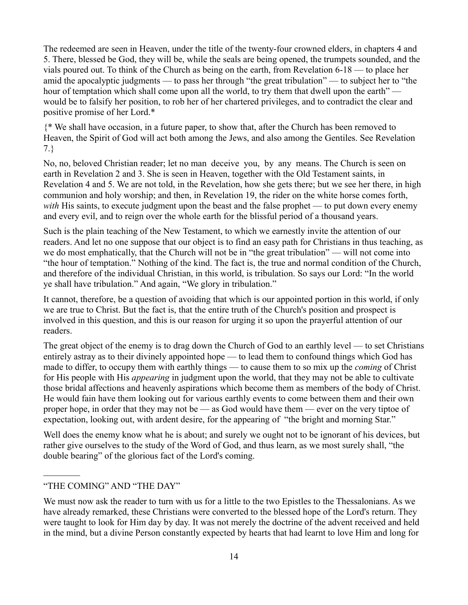The redeemed are seen in Heaven, under the title of the twenty-four crowned elders, in chapters 4 and 5. There, blessed be God, they will be, while the seals are being opened, the trumpets sounded, and the vials poured out. To think of the Church as being on the earth, from Revelation 6-18 — to place her amid the apocalyptic judgments — to pass her through "the great tribulation" — to subject her to "the hour of temptation which shall come upon all the world, to try them that dwell upon the earth" would be to falsify her position, to rob her of her chartered privileges, and to contradict the clear and positive promise of her Lord.\*

{\* We shall have occasion, in a future paper, to show that, after the Church has been removed to Heaven, the Spirit of God will act both among the Jews, and also among the Gentiles. See Revelation 7.}

No, no, beloved Christian reader; let no man deceive you, by any means. The Church is seen on earth in Revelation 2 and 3. She is seen in Heaven, together with the Old Testament saints, in Revelation 4 and 5. We are not told, in the Revelation, how she gets there; but we see her there, in high communion and holy worship; and then, in Revelation 19, the rider on the white horse comes forth, *with* His saints, to execute judgment upon the beast and the false prophet — to put down every enemy and every evil, and to reign over the whole earth for the blissful period of a thousand years.

Such is the plain teaching of the New Testament, to which we earnestly invite the attention of our readers. And let no one suppose that our object is to find an easy path for Christians in thus teaching, as we do most emphatically, that the Church will not be in "the great tribulation" — will not come into "the hour of temptation." Nothing of the kind. The fact is, the true and normal condition of the Church, and therefore of the individual Christian, in this world, is tribulation. So says our Lord: "In the world ye shall have tribulation." And again, "We glory in tribulation."

It cannot, therefore, be a question of avoiding that which is our appointed portion in this world, if only we are true to Christ. But the fact is, that the entire truth of the Church's position and prospect is involved in this question, and this is our reason for urging it so upon the prayerful attention of our readers.

The great object of the enemy is to drag down the Church of God to an earthly level — to set Christians entirely astray as to their divinely appointed hope — to lead them to confound things which God has made to differ, to occupy them with earthly things — to cause them to so mix up the *coming* of Christ for His people with His *appearing* in judgment upon the world, that they may not be able to cultivate those bridal affections and heavenly aspirations which become them as members of the body of Christ. He would fain have them looking out for various earthly events to come between them and their own proper hope, in order that they may not be — as God would have them — ever on the very tiptoe of expectation, looking out, with ardent desire, for the appearing of "the bright and morning Star."

Well does the enemy know what he is about; and surely we ought not to be ignorant of his devices, but rather give ourselves to the study of the Word of God, and thus learn, as we most surely shall, "the double bearing" of the glorious fact of the Lord's coming.

## "THE COMING" AND "THE DAY"

 $\mathcal{L}_\text{max}$ 

We must now ask the reader to turn with us for a little to the two Epistles to the Thessalonians. As we have already remarked, these Christians were converted to the blessed hope of the Lord's return. They were taught to look for Him day by day. It was not merely the doctrine of the advent received and held in the mind, but a divine Person constantly expected by hearts that had learnt to love Him and long for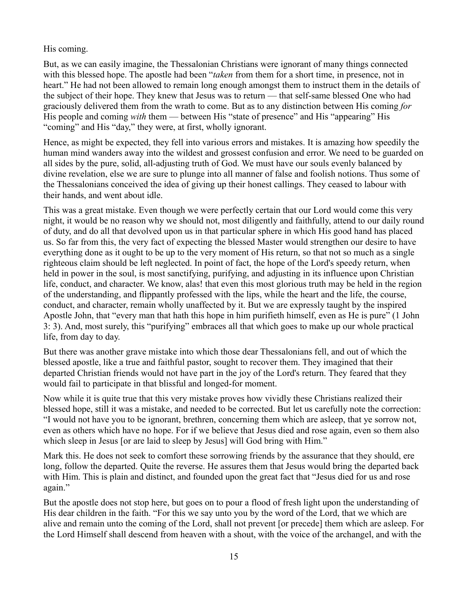## His coming.

But, as we can easily imagine, the Thessalonian Christians were ignorant of many things connected with this blessed hope. The apostle had been "*taken* from them for a short time, in presence, not in heart." He had not been allowed to remain long enough amongst them to instruct them in the details of the subject of their hope. They knew that Jesus was to return — that self-same blessed One who had graciously delivered them from the wrath to come. But as to any distinction between His coming *for* His people and coming *with* them — between His "state of presence" and His "appearing" His "coming" and His "day," they were, at first, wholly ignorant.

Hence, as might be expected, they fell into various errors and mistakes. It is amazing how speedily the human mind wanders away into the wildest and grossest confusion and error. We need to be guarded on all sides by the pure, solid, all-adjusting truth of God. We must have our souls evenly balanced by divine revelation, else we are sure to plunge into all manner of false and foolish notions. Thus some of the Thessalonians conceived the idea of giving up their honest callings. They ceased to labour with their hands, and went about idle.

This was a great mistake. Even though we were perfectly certain that our Lord would come this very night, it would be no reason why we should not, most diligently and faithfully, attend to our daily round of duty, and do all that devolved upon us in that particular sphere in which His good hand has placed us. So far from this, the very fact of expecting the blessed Master would strengthen our desire to have everything done as it ought to be up to the very moment of His return, so that not so much as a single righteous claim should be left neglected. In point of fact, the hope of the Lord's speedy return, when held in power in the soul, is most sanctifying, purifying, and adjusting in its influence upon Christian life, conduct, and character. We know, alas! that even this most glorious truth may be held in the region of the understanding, and flippantly professed with the lips, while the heart and the life, the course, conduct, and character, remain wholly unaffected by it. But we are expressly taught by the inspired Apostle John, that "every man that hath this hope in him purifieth himself, even as He is pure" (1 John 3: 3). And, most surely, this "purifying" embraces all that which goes to make up our whole practical life, from day to day.

But there was another grave mistake into which those dear Thessalonians fell, and out of which the blessed apostle, like a true and faithful pastor, sought to recover them. They imagined that their departed Christian friends would not have part in the joy of the Lord's return. They feared that they would fail to participate in that blissful and longed-for moment.

Now while it is quite true that this very mistake proves how vividly these Christians realized their blessed hope, still it was a mistake, and needed to be corrected. But let us carefully note the correction: "I would not have you to be ignorant, brethren, concerning them which are asleep, that ye sorrow not, even as others which have no hope. For if we believe that Jesus died and rose again, even so them also which sleep in Jesus [or are laid to sleep by Jesus] will God bring with Him."

Mark this. He does not seek to comfort these sorrowing friends by the assurance that they should, ere long, follow the departed. Quite the reverse. He assures them that Jesus would bring the departed back with Him. This is plain and distinct, and founded upon the great fact that "Jesus died for us and rose again."

But the apostle does not stop here, but goes on to pour a flood of fresh light upon the understanding of His dear children in the faith. "For this we say unto you by the word of the Lord, that we which are alive and remain unto the coming of the Lord, shall not prevent [or precede] them which are asleep. For the Lord Himself shall descend from heaven with a shout, with the voice of the archangel, and with the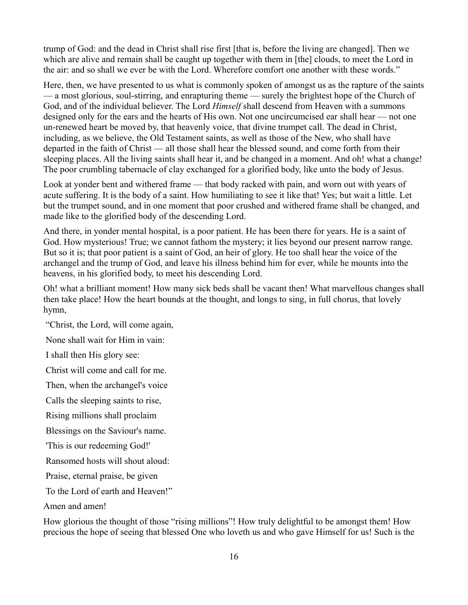trump of God: and the dead in Christ shall rise first [that is, before the living are changed]. Then we which are alive and remain shall be caught up together with them in [the] clouds, to meet the Lord in the air: and so shall we ever be with the Lord. Wherefore comfort one another with these words."

Here, then, we have presented to us what is commonly spoken of amongst us as the rapture of the saints — a most glorious, soul-stirring, and enrapturing theme — surely the brightest hope of the Church of God, and of the individual believer. The Lord *Himself* shall descend from Heaven with a summons designed only for the ears and the hearts of His own. Not one uncircumcised ear shall hear — not one un-renewed heart be moved by, that heavenly voice, that divine trumpet call. The dead in Christ, including, as we believe, the Old Testament saints, as well as those of the New, who shall have departed in the faith of Christ — all those shall hear the blessed sound, and come forth from their sleeping places. All the living saints shall hear it, and be changed in a moment. And oh! what a change! The poor crumbling tabernacle of clay exchanged for a glorified body, like unto the body of Jesus.

Look at yonder bent and withered frame — that body racked with pain, and worn out with years of acute suffering. It is the body of a saint. How humiliating to see it like that! Yes; but wait a little. Let but the trumpet sound, and in one moment that poor crushed and withered frame shall be changed, and made like to the glorified body of the descending Lord.

And there, in yonder mental hospital, is a poor patient. He has been there for years. He is a saint of God. How mysterious! True; we cannot fathom the mystery; it lies beyond our present narrow range. But so it is; that poor patient is a saint of God, an heir of glory. He too shall hear the voice of the archangel and the trump of God, and leave his illness behind him for ever, while he mounts into the heavens, in his glorified body, to meet his descending Lord.

Oh! what a brilliant moment! How many sick beds shall be vacant then! What marvellous changes shall then take place! How the heart bounds at the thought, and longs to sing, in full chorus, that lovely hymn,

"Christ, the Lord, will come again,

None shall wait for Him in vain:

I shall then His glory see:

Christ will come and call for me.

Then, when the archangel's voice

Calls the sleeping saints to rise,

Rising millions shall proclaim

Blessings on the Saviour's name.

'This is our redeeming God!'

Ransomed hosts will shout aloud:

Praise, eternal praise, be given

To the Lord of earth and Heaven!"

Amen and amen!

How glorious the thought of those "rising millions"! How truly delightful to be amongst them! How precious the hope of seeing that blessed One who loveth us and who gave Himself for us! Such is the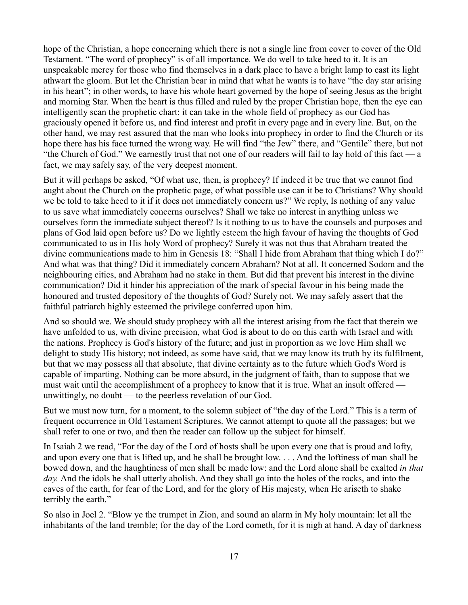hope of the Christian, a hope concerning which there is not a single line from cover to cover of the Old Testament. "The word of prophecy" is of all importance. We do well to take heed to it. It is an unspeakable mercy for those who find themselves in a dark place to have a bright lamp to cast its light athwart the gloom. But let the Christian bear in mind that what he wants is to have "the day star arising in his heart"; in other words, to have his whole heart governed by the hope of seeing Jesus as the bright and morning Star. When the heart is thus filled and ruled by the proper Christian hope, then the eye can intelligently scan the prophetic chart: it can take in the whole field of prophecy as our God has graciously opened it before us, and find interest and profit in every page and in every line. But, on the other hand, we may rest assured that the man who looks into prophecy in order to find the Church or its hope there has his face turned the wrong way. He will find "the Jew" there, and "Gentile" there, but not "the Church of God." We earnestly trust that not one of our readers will fail to lay hold of this fact — a fact, we may safely say, of the very deepest moment.

But it will perhaps be asked, "Of what use, then, is prophecy? If indeed it be true that we cannot find aught about the Church on the prophetic page, of what possible use can it be to Christians? Why should we be told to take heed to it if it does not immediately concern us?" We reply, Is nothing of any value to us save what immediately concerns ourselves? Shall we take no interest in anything unless we ourselves form the immediate subject thereof? Is it nothing to us to have the counsels and purposes and plans of God laid open before us? Do we lightly esteem the high favour of having the thoughts of God communicated to us in His holy Word of prophecy? Surely it was not thus that Abraham treated the divine communications made to him in Genesis 18: "Shall I hide from Abraham that thing which I do?" And what was that thing? Did it immediately concern Abraham? Not at all. It concerned Sodom and the neighbouring cities, and Abraham had no stake in them. But did that prevent his interest in the divine communication? Did it hinder his appreciation of the mark of special favour in his being made the honoured and trusted depository of the thoughts of God? Surely not. We may safely assert that the faithful patriarch highly esteemed the privilege conferred upon him.

And so should we. We should study prophecy with all the interest arising from the fact that therein we have unfolded to us, with divine precision, what God is about to do on this earth with Israel and with the nations. Prophecy is God's history of the future; and just in proportion as we love Him shall we delight to study His history; not indeed, as some have said, that we may know its truth by its fulfilment, but that we may possess all that absolute, that divine certainty as to the future which God's Word is capable of imparting. Nothing can be more absurd, in the judgment of faith, than to suppose that we must wait until the accomplishment of a prophecy to know that it is true. What an insult offered unwittingly, no doubt — to the peerless revelation of our God.

But we must now turn, for a moment, to the solemn subject of "the day of the Lord." This is a term of frequent occurrence in Old Testament Scriptures. We cannot attempt to quote all the passages; but we shall refer to one or two, and then the reader can follow up the subject for himself.

In Isaiah 2 we read, "For the day of the Lord of hosts shall be upon every one that is proud and lofty, and upon every one that is lifted up, and he shall be brought low. . . . And the loftiness of man shall be bowed down, and the haughtiness of men shall be made low: and the Lord alone shall be exalted *in that day.* And the idols he shall utterly abolish. And they shall go into the holes of the rocks, and into the caves of the earth, for fear of the Lord, and for the glory of His majesty, when He ariseth to shake terribly the earth."

So also in Joel 2. "Blow ye the trumpet in Zion, and sound an alarm in My holy mountain: let all the inhabitants of the land tremble; for the day of the Lord cometh, for it is nigh at hand. A day of darkness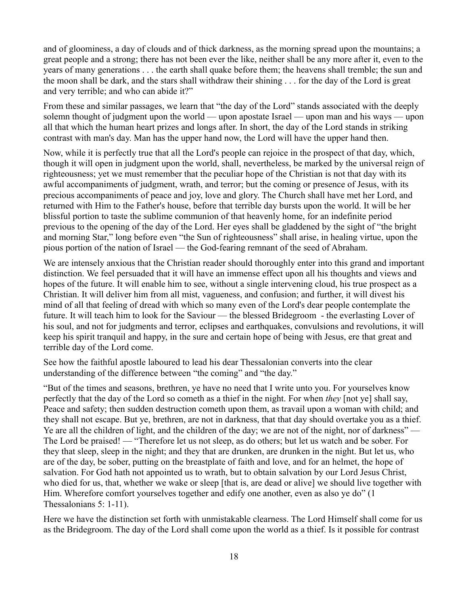and of gloominess, a day of clouds and of thick darkness, as the morning spread upon the mountains; a great people and a strong; there has not been ever the like, neither shall be any more after it, even to the years of many generations . . . the earth shall quake before them; the heavens shall tremble; the sun and the moon shall be dark, and the stars shall withdraw their shining . . . for the day of the Lord is great and very terrible; and who can abide it?"

From these and similar passages, we learn that "the day of the Lord" stands associated with the deeply solemn thought of judgment upon the world — upon apostate Israel — upon man and his ways — upon all that which the human heart prizes and longs after. In short, the day of the Lord stands in striking contrast with man's day. Man has the upper hand now, the Lord will have the upper hand then.

Now, while it is perfectly true that all the Lord's people can rejoice in the prospect of that day, which, though it will open in judgment upon the world, shall, nevertheless, be marked by the universal reign of righteousness; yet we must remember that the peculiar hope of the Christian is not that day with its awful accompaniments of judgment, wrath, and terror; but the coming or presence of Jesus, with its precious accompaniments of peace and joy, love and glory. The Church shall have met her Lord, and returned with Him to the Father's house, before that terrible day bursts upon the world. It will be her blissful portion to taste the sublime communion of that heavenly home, for an indefinite period previous to the opening of the day of the Lord. Her eyes shall be gladdened by the sight of "the bright and morning Star," long before even "the Sun of righteousness" shall arise, in healing virtue, upon the pious portion of the nation of Israel — the God-fearing remnant of the seed of Abraham.

We are intensely anxious that the Christian reader should thoroughly enter into this grand and important distinction. We feel persuaded that it will have an immense effect upon all his thoughts and views and hopes of the future. It will enable him to see, without a single intervening cloud, his true prospect as a Christian. It will deliver him from all mist, vagueness, and confusion; and further, it will divest his mind of all that feeling of dread with which so many even of the Lord's dear people contemplate the future. It will teach him to look for the Saviour — the blessed Bridegroom - the everlasting Lover of his soul, and not for judgments and terror, eclipses and earthquakes, convulsions and revolutions, it will keep his spirit tranquil and happy, in the sure and certain hope of being with Jesus, ere that great and terrible day of the Lord come.

See how the faithful apostle laboured to lead his dear Thessalonian converts into the clear understanding of the difference between "the coming" and "the day."

"But of the times and seasons, brethren, ye have no need that I write unto you. For yourselves know perfectly that the day of the Lord so cometh as a thief in the night. For when *they* [not ye] shall say, Peace and safety; then sudden destruction cometh upon them, as travail upon a woman with child; and they shall not escape. But ye, brethren, are not in darkness, that that day should overtake you as a thief. Ye are all the children of light, and the children of the day; we are not of the night, nor of darkness" — The Lord be praised! — "Therefore let us not sleep, as do others; but let us watch and be sober. For they that sleep, sleep in the night; and they that are drunken, are drunken in the night. But let us, who are of the day, be sober, putting on the breastplate of faith and love, and for an helmet, the hope of salvation. For God hath not appointed us to wrath, but to obtain salvation by our Lord Jesus Christ, who died for us, that, whether we wake or sleep [that is, are dead or alive] we should live together with Him. Wherefore comfort yourselves together and edify one another, even as also ye do" (1) Thessalonians 5: 1-11).

Here we have the distinction set forth with unmistakable clearness. The Lord Himself shall come for us as the Bridegroom. The day of the Lord shall come upon the world as a thief. Is it possible for contrast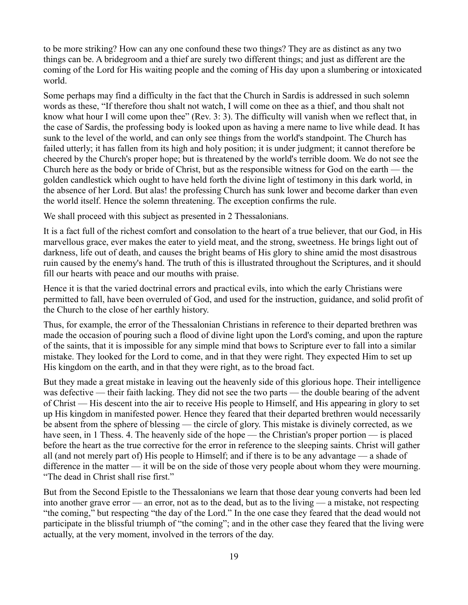to be more striking? How can any one confound these two things? They are as distinct as any two things can be. A bridegroom and a thief are surely two different things; and just as different are the coming of the Lord for His waiting people and the coming of His day upon a slumbering or intoxicated world.

Some perhaps may find a difficulty in the fact that the Church in Sardis is addressed in such solemn words as these, "If therefore thou shalt not watch, I will come on thee as a thief, and thou shalt not know what hour I will come upon thee" (Rev. 3: 3). The difficulty will vanish when we reflect that, in the case of Sardis, the professing body is looked upon as having a mere name to live while dead. It has sunk to the level of the world, and can only see things from the world's standpoint. The Church has failed utterly; it has fallen from its high and holy position; it is under judgment; it cannot therefore be cheered by the Church's proper hope; but is threatened by the world's terrible doom. We do not see the Church here as the body or bride of Christ, but as the responsible witness for God on the earth — the golden candlestick which ought to have held forth the divine light of testimony in this dark world, in the absence of her Lord. But alas! the professing Church has sunk lower and become darker than even the world itself. Hence the solemn threatening. The exception confirms the rule.

We shall proceed with this subject as presented in 2 Thessalonians.

It is a fact full of the richest comfort and consolation to the heart of a true believer, that our God, in His marvellous grace, ever makes the eater to yield meat, and the strong, sweetness. He brings light out of darkness, life out of death, and causes the bright beams of His glory to shine amid the most disastrous ruin caused by the enemy's hand. The truth of this is illustrated throughout the Scriptures, and it should fill our hearts with peace and our mouths with praise.

Hence it is that the varied doctrinal errors and practical evils, into which the early Christians were permitted to fall, have been overruled of God, and used for the instruction, guidance, and solid profit of the Church to the close of her earthly history.

Thus, for example, the error of the Thessalonian Christians in reference to their departed brethren was made the occasion of pouring such a flood of divine light upon the Lord's coming, and upon the rapture of the saints, that it is impossible for any simple mind that bows to Scripture ever to fall into a similar mistake. They looked for the Lord to come, and in that they were right. They expected Him to set up His kingdom on the earth, and in that they were right, as to the broad fact.

But they made a great mistake in leaving out the heavenly side of this glorious hope. Their intelligence was defective — their faith lacking. They did not see the two parts — the double bearing of the advent of Christ — His descent into the air to receive His people to Himself, and His appearing in glory to set up His kingdom in manifested power. Hence they feared that their departed brethren would necessarily be absent from the sphere of blessing — the circle of glory. This mistake is divinely corrected, as we have seen, in 1 Thess. 4. The heavenly side of the hope — the Christian's proper portion — is placed before the heart as the true corrective for the error in reference to the sleeping saints. Christ will gather all (and not merely part of) His people to Himself; and if there is to be any advantage — a shade of difference in the matter — it will be on the side of those very people about whom they were mourning. "The dead in Christ shall rise first."

But from the Second Epistle to the Thessalonians we learn that those dear young converts had been led into another grave error — an error, not as to the dead, but as to the living — a mistake, not respecting "the coming," but respecting "the day of the Lord." In the one case they feared that the dead would not participate in the blissful triumph of "the coming"; and in the other case they feared that the living were actually, at the very moment, involved in the terrors of the day.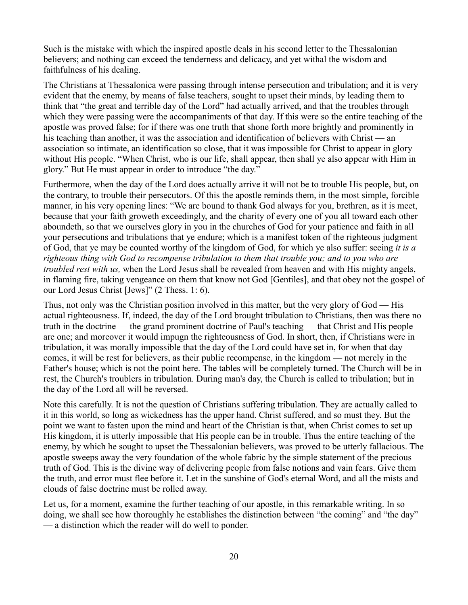Such is the mistake with which the inspired apostle deals in his second letter to the Thessalonian believers; and nothing can exceed the tenderness and delicacy, and yet withal the wisdom and faithfulness of his dealing.

The Christians at Thessalonica were passing through intense persecution and tribulation; and it is very evident that the enemy, by means of false teachers, sought to upset their minds, by leading them to think that "the great and terrible day of the Lord" had actually arrived, and that the troubles through which they were passing were the accompaniments of that day. If this were so the entire teaching of the apostle was proved false; for if there was one truth that shone forth more brightly and prominently in his teaching than another, it was the association and identification of believers with Christ — an association so intimate, an identification so close, that it was impossible for Christ to appear in glory without His people. "When Christ, who is our life, shall appear, then shall ye also appear with Him in glory." But He must appear in order to introduce "the day."

Furthermore, when the day of the Lord does actually arrive it will not be to trouble His people, but, on the contrary, to trouble their persecutors. Of this the apostle reminds them, in the most simple, forcible manner, in his very opening lines: "We are bound to thank God always for you, brethren, as it is meet, because that your faith groweth exceedingly, and the charity of every one of you all toward each other aboundeth, so that we ourselves glory in you in the churches of God for your patience and faith in all your persecutions and tribulations that ye endure; which is a manifest token of the righteous judgment of God, that ye may be counted worthy of the kingdom of God, for which ye also suffer: seeing *it is a righteous thing with God to recompense tribulation to them that trouble you; and to you who are troubled rest with us,* when the Lord Jesus shall be revealed from heaven and with His mighty angels, in flaming fire, taking vengeance on them that know not God [Gentiles], and that obey not the gospel of our Lord Jesus Christ [Jews]" (2 Thess. 1: 6).

Thus, not only was the Christian position involved in this matter, but the very glory of God — His actual righteousness. If, indeed, the day of the Lord brought tribulation to Christians, then was there no truth in the doctrine — the grand prominent doctrine of Paul's teaching — that Christ and His people are one; and moreover it would impugn the righteousness of God. In short, then, if Christians were in tribulation, it was morally impossible that the day of the Lord could have set in, for when that day comes, it will be rest for believers, as their public recompense, in the kingdom — not merely in the Father's house; which is not the point here. The tables will be completely turned. The Church will be in rest, the Church's troublers in tribulation. During man's day, the Church is called to tribulation; but in the day of the Lord all will be reversed.

Note this carefully. It is not the question of Christians suffering tribulation. They are actually called to it in this world, so long as wickedness has the upper hand. Christ suffered, and so must they. But the point we want to fasten upon the mind and heart of the Christian is that, when Christ comes to set up His kingdom, it is utterly impossible that His people can be in trouble. Thus the entire teaching of the enemy, by which he sought to upset the Thessalonian believers, was proved to be utterly fallacious. The apostle sweeps away the very foundation of the whole fabric by the simple statement of the precious truth of God. This is the divine way of delivering people from false notions and vain fears. Give them the truth, and error must flee before it. Let in the sunshine of God's eternal Word, and all the mists and clouds of false doctrine must be rolled away.

Let us, for a moment, examine the further teaching of our apostle, in this remarkable writing. In so doing, we shall see how thoroughly he establishes the distinction between "the coming" and "the day" — a distinction which the reader will do well to ponder.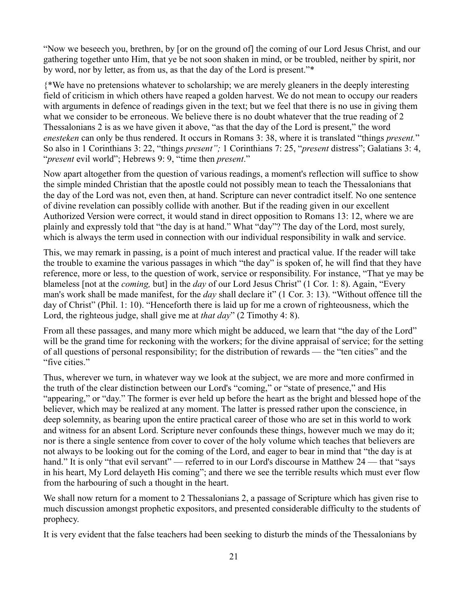"Now we beseech you, brethren, by [or on the ground of] the coming of our Lord Jesus Christ, and our gathering together unto Him, that ye be not soon shaken in mind, or be troubled, neither by spirit, nor by word, nor by letter, as from us, as that the day of the Lord is present."\*

{\*We have no pretensions whatever to scholarship; we are merely gleaners in the deeply interesting field of criticism in which others have reaped a golden harvest. We do not mean to occupy our readers with arguments in defence of readings given in the text; but we feel that there is no use in giving them what we consider to be erroneous. We believe there is no doubt whatever that the true reading of 2 Thessalonians 2 is as we have given it above, "as that the day of the Lord is present," the word *enesteken* can only be thus rendered. It occurs in Romans 3: 38, where it is translated "things *present.*" So also in 1 Corinthians 3: 22, "things *present";* 1 Corinthians 7: 25, "*present* distress"; Galatians 3: 4, "*present* evil world"; Hebrews 9: 9, "time then *present*."

Now apart altogether from the question of various readings, a moment's reflection will suffice to show the simple minded Christian that the apostle could not possibly mean to teach the Thessalonians that the day of the Lord was not, even then, at hand. Scripture can never contradict itself. No one sentence of divine revelation can possibly collide with another. But if the reading given in our excellent Authorized Version were correct, it would stand in direct opposition to Romans 13: 12, where we are plainly and expressly told that "the day is at hand." What "day"? The day of the Lord, most surely, which is always the term used in connection with our individual responsibility in walk and service.

This, we may remark in passing, is a point of much interest and practical value. If the reader will take the trouble to examine the various passages in which "the day" is spoken of, he will find that they have reference, more or less, to the question of work, service or responsibility. For instance, "That ye may be blameless [not at the *coming,* but] in the *day* of our Lord Jesus Christ" (1 Cor. 1: 8). Again, "Every man's work shall be made manifest, for the *day* shall declare it" (1 Cor. 3: 13). "Without offence till the day of Christ" (Phil. 1: 10). "Henceforth there is laid up for me a crown of righteousness, which the Lord, the righteous judge, shall give me at *that day*" (2 Timothy 4: 8).

From all these passages, and many more which might be adduced, we learn that "the day of the Lord" will be the grand time for reckoning with the workers; for the divine appraisal of service; for the setting of all questions of personal responsibility; for the distribution of rewards — the "ten cities" and the "five cities."

Thus, wherever we turn, in whatever way we look at the subject, we are more and more confirmed in the truth of the clear distinction between our Lord's "coming," or "state of presence," and His "appearing," or "day." The former is ever held up before the heart as the bright and blessed hope of the believer, which may be realized at any moment. The latter is pressed rather upon the conscience, in deep solemnity, as bearing upon the entire practical career of those who are set in this world to work and witness for an absent Lord. Scripture never confounds these things, however much we may do it; nor is there a single sentence from cover to cover of the holy volume which teaches that believers are not always to be looking out for the coming of the Lord, and eager to bear in mind that "the day is at hand." It is only "that evil servant" — referred to in our Lord's discourse in Matthew 24 — that "says in his heart, My Lord delayeth His coming"; and there we see the terrible results which must ever flow from the harbouring of such a thought in the heart.

We shall now return for a moment to 2 Thessalonians 2, a passage of Scripture which has given rise to much discussion amongst prophetic expositors, and presented considerable difficulty to the students of prophecy.

It is very evident that the false teachers had been seeking to disturb the minds of the Thessalonians by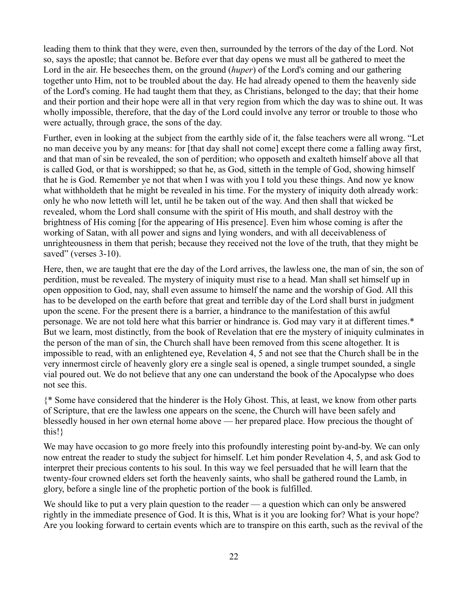leading them to think that they were, even then, surrounded by the terrors of the day of the Lord. Not so, says the apostle; that cannot be. Before ever that day opens we must all be gathered to meet the Lord in the air. He beseeches them, on the ground (*huper*) of the Lord's coming and our gathering together unto Him, not to be troubled about the day. He had already opened to them the heavenly side of the Lord's coming. He had taught them that they, as Christians, belonged to the day; that their home and their portion and their hope were all in that very region from which the day was to shine out. It was wholly impossible, therefore, that the day of the Lord could involve any terror or trouble to those who were actually, through grace, the sons of the day.

Further, even in looking at the subject from the earthly side of it, the false teachers were all wrong. "Let no man deceive you by any means: for [that day shall not come] except there come a falling away first, and that man of sin be revealed, the son of perdition; who opposeth and exalteth himself above all that is called God, or that is worshipped; so that he, as God, sitteth in the temple of God, showing himself that he is God. Remember ye not that when I was with you I told you these things. And now ye know what withholdeth that he might be revealed in his time. For the mystery of iniquity doth already work: only he who now letteth will let, until he be taken out of the way. And then shall that wicked be revealed, whom the Lord shall consume with the spirit of His mouth, and shall destroy with the brightness of His coming [for the appearing of His presence]. Even him whose coming is after the working of Satan, with all power and signs and lying wonders, and with all deceivableness of unrighteousness in them that perish; because they received not the love of the truth, that they might be saved" (verses 3-10).

Here, then, we are taught that ere the day of the Lord arrives, the lawless one, the man of sin, the son of perdition, must be revealed. The mystery of iniquity must rise to a head. Man shall set himself up in open opposition to God, nay, shall even assume to himself the name and the worship of God. All this has to be developed on the earth before that great and terrible day of the Lord shall burst in judgment upon the scene. For the present there is a barrier, a hindrance to the manifestation of this awful personage. We are not told here what this barrier or hindrance is. God may vary it at different times.\* But we learn, most distinctly, from the book of Revelation that ere the mystery of iniquity culminates in the person of the man of sin, the Church shall have been removed from this scene altogether. It is impossible to read, with an enlightened eye, Revelation 4, 5 and not see that the Church shall be in the very innermost circle of heavenly glory ere a single seal is opened, a single trumpet sounded, a single vial poured out. We do not believe that any one can understand the book of the Apocalypse who does not see this.

{\* Some have considered that the hinderer is the Holy Ghost. This, at least, we know from other parts of Scripture, that ere the lawless one appears on the scene, the Church will have been safely and blessedly housed in her own eternal home above — her prepared place. How precious the thought of this!}

We may have occasion to go more freely into this profoundly interesting point by-and-by. We can only now entreat the reader to study the subject for himself. Let him ponder Revelation 4, 5, and ask God to interpret their precious contents to his soul. In this way we feel persuaded that he will learn that the twenty-four crowned elders set forth the heavenly saints, who shall be gathered round the Lamb, in glory, before a single line of the prophetic portion of the book is fulfilled.

We should like to put a very plain question to the reader — a question which can only be answered rightly in the immediate presence of God. It is this, What is it you are looking for? What is your hope? Are you looking forward to certain events which are to transpire on this earth, such as the revival of the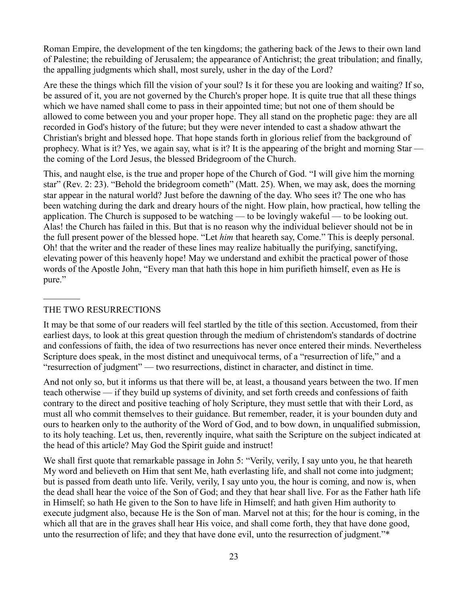Roman Empire, the development of the ten kingdoms; the gathering back of the Jews to their own land of Palestine; the rebuilding of Jerusalem; the appearance of Antichrist; the great tribulation; and finally, the appalling judgments which shall, most surely, usher in the day of the Lord?

Are these the things which fill the vision of your soul? Is it for these you are looking and waiting? If so, be assured of it, you are not governed by the Church's proper hope. It is quite true that all these things which we have named shall come to pass in their appointed time; but not one of them should be allowed to come between you and your proper hope. They all stand on the prophetic page: they are all recorded in God's history of the future; but they were never intended to cast a shadow athwart the Christian's bright and blessed hope. That hope stands forth in glorious relief from the background of prophecy. What is it? Yes, we again say, what is it? It is the appearing of the bright and morning Star the coming of the Lord Jesus, the blessed Bridegroom of the Church.

This, and naught else, is the true and proper hope of the Church of God. "I will give him the morning star" (Rev. 2: 23). "Behold the bridegroom cometh" (Matt. 25). When, we may ask, does the morning star appear in the natural world? Just before the dawning of the day. Who sees it? The one who has been watching during the dark and dreary hours of the night. How plain, how practical, how telling the application. The Church is supposed to be watching — to be lovingly wakeful — to be looking out. Alas! the Church has failed in this. But that is no reason why the individual believer should not be in the full present power of the blessed hope. "Let *him* that heareth say, Come." This is deeply personal. Oh! that the writer and the reader of these lines may realize habitually the purifying, sanctifying, elevating power of this heavenly hope! May we understand and exhibit the practical power of those words of the Apostle John, "Every man that hath this hope in him purifieth himself, even as He is pure."

#### THE TWO RESURRECTIONS

 $\mathcal{L}_\text{max}$ 

It may be that some of our readers will feel startled by the title of this section. Accustomed, from their earliest days, to look at this great question through the medium of christendom's standards of doctrine and confessions of faith, the idea of two resurrections has never once entered their minds. Nevertheless Scripture does speak, in the most distinct and unequivocal terms, of a "resurrection of life," and a "resurrection of judgment" — two resurrections, distinct in character, and distinct in time.

And not only so, but it informs us that there will be, at least, a thousand years between the two. If men teach otherwise — if they build up systems of divinity, and set forth creeds and confessions of faith contrary to the direct and positive teaching of holy Scripture, they must settle that with their Lord, as must all who commit themselves to their guidance. But remember, reader, it is your bounden duty and ours to hearken only to the authority of the Word of God, and to bow down, in unqualified submission, to its holy teaching. Let us, then, reverently inquire, what saith the Scripture on the subject indicated at the head of this article? May God the Spirit guide and instruct!

We shall first quote that remarkable passage in John 5: "Verily, verily, I say unto you, he that heareth My word and believeth on Him that sent Me, hath everlasting life, and shall not come into judgment; but is passed from death unto life. Verily, verily, I say unto you, the hour is coming, and now is, when the dead shall hear the voice of the Son of God; and they that hear shall live. For as the Father hath life in Himself; so hath He given to the Son to have life in Himself; and hath given Him authority to execute judgment also, because He is the Son of man. Marvel not at this; for the hour is coming, in the which all that are in the graves shall hear His voice, and shall come forth, they that have done good, unto the resurrection of life; and they that have done evil, unto the resurrection of judgment."\*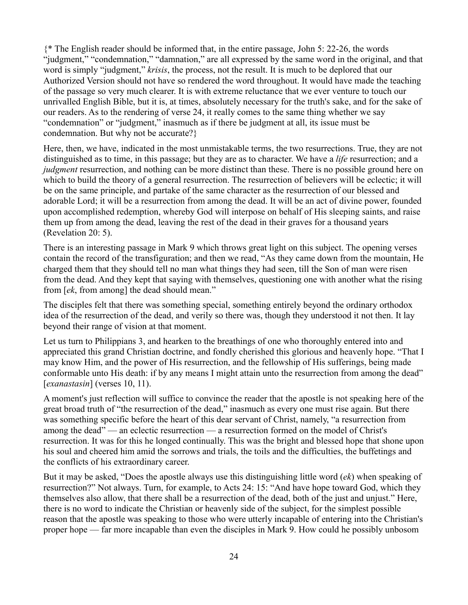{\* The English reader should be informed that, in the entire passage, John 5: 22-26, the words "judgment," "condemnation," "damnation," are all expressed by the same word in the original, and that word is simply "judgment," *krisis*, the process, not the result. It is much to be deplored that our Authorized Version should not have so rendered the word throughout. It would have made the teaching of the passage so very much clearer. It is with extreme reluctance that we ever venture to touch our unrivalled English Bible, but it is, at times, absolutely necessary for the truth's sake, and for the sake of our readers. As to the rendering of verse 24, it really comes to the same thing whether we say "condemnation" or "judgment," inasmuch as if there be judgment at all, its issue must be condemnation. But why not be accurate?}

Here, then, we have, indicated in the most unmistakable terms, the two resurrections. True, they are not distinguished as to time, in this passage; but they are as to character. We have a *life* resurrection; and a *judgment* resurrection, and nothing can be more distinct than these. There is no possible ground here on which to build the theory of a general resurrection. The resurrection of believers will be eclectic; it will be on the same principle, and partake of the same character as the resurrection of our blessed and adorable Lord; it will be a resurrection from among the dead. It will be an act of divine power, founded upon accomplished redemption, whereby God will interpose on behalf of His sleeping saints, and raise them up from among the dead, leaving the rest of the dead in their graves for a thousand years (Revelation 20: 5).

There is an interesting passage in Mark 9 which throws great light on this subject. The opening verses contain the record of the transfiguration; and then we read, "As they came down from the mountain, He charged them that they should tell no man what things they had seen, till the Son of man were risen from the dead. And they kept that saying with themselves, questioning one with another what the rising from [*ek*, from among] the dead should mean."

The disciples felt that there was something special, something entirely beyond the ordinary orthodox idea of the resurrection of the dead, and verily so there was, though they understood it not then. It lay beyond their range of vision at that moment.

Let us turn to Philippians 3, and hearken to the breathings of one who thoroughly entered into and appreciated this grand Christian doctrine, and fondly cherished this glorious and heavenly hope. "That I may know Him, and the power of His resurrection, and the fellowship of His sufferings, being made conformable unto His death: if by any means I might attain unto the resurrection from among the dead" [*exanastasin*] (verses 10, 11).

A moment's just reflection will suffice to convince the reader that the apostle is not speaking here of the great broad truth of "the resurrection of the dead," inasmuch as every one must rise again. But there was something specific before the heart of this dear servant of Christ, namely, "a resurrection from among the dead" — an eclectic resurrection — a resurrection formed on the model of Christ's resurrection. It was for this he longed continually. This was the bright and blessed hope that shone upon his soul and cheered him amid the sorrows and trials, the toils and the difficulties, the buffetings and the conflicts of his extraordinary career.

But it may be asked, "Does the apostle always use this distinguishing little word (*ek*) when speaking of resurrection?" Not always. Turn, for example, to Acts 24: 15: "And have hope toward God, which they themselves also allow, that there shall be a resurrection of the dead, both of the just and unjust." Here, there is no word to indicate the Christian or heavenly side of the subject, for the simplest possible reason that the apostle was speaking to those who were utterly incapable of entering into the Christian's proper hope — far more incapable than even the disciples in Mark 9. How could he possibly unbosom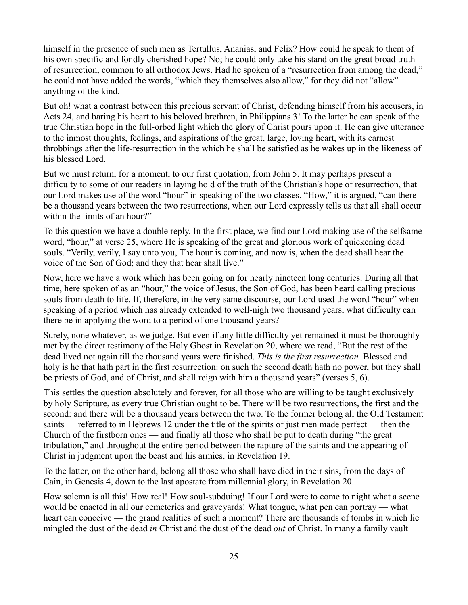himself in the presence of such men as Tertullus, Ananias, and Felix? How could he speak to them of his own specific and fondly cherished hope? No; he could only take his stand on the great broad truth of resurrection, common to all orthodox Jews. Had he spoken of a "resurrection from among the dead," he could not have added the words, "which they themselves also allow," for they did not "allow" anything of the kind.

But oh! what a contrast between this precious servant of Christ, defending himself from his accusers, in Acts 24, and baring his heart to his beloved brethren, in Philippians 3! To the latter he can speak of the true Christian hope in the full-orbed light which the glory of Christ pours upon it. He can give utterance to the inmost thoughts, feelings, and aspirations of the great, large, loving heart, with its earnest throbbings after the life-resurrection in the which he shall be satisfied as he wakes up in the likeness of his blessed Lord.

But we must return, for a moment, to our first quotation, from John 5. It may perhaps present a difficulty to some of our readers in laying hold of the truth of the Christian's hope of resurrection, that our Lord makes use of the word "hour" in speaking of the two classes. "How," it is argued, "can there be a thousand years between the two resurrections, when our Lord expressly tells us that all shall occur within the limits of an hour?"

To this question we have a double reply. In the first place, we find our Lord making use of the selfsame word, "hour," at verse 25, where He is speaking of the great and glorious work of quickening dead souls. "Verily, verily, I say unto you, The hour is coming, and now is, when the dead shall hear the voice of the Son of God; and they that hear shall live."

Now, here we have a work which has been going on for nearly nineteen long centuries. During all that time, here spoken of as an "hour," the voice of Jesus, the Son of God, has been heard calling precious souls from death to life. If, therefore, in the very same discourse, our Lord used the word "hour" when speaking of a period which has already extended to well-nigh two thousand years, what difficulty can there be in applying the word to a period of one thousand years?

Surely, none whatever, as we judge. But even if any little difficulty yet remained it must be thoroughly met by the direct testimony of the Holy Ghost in Revelation 20, where we read, "But the rest of the dead lived not again till the thousand years were finished. *This is the first resurrection.* Blessed and holy is he that hath part in the first resurrection: on such the second death hath no power, but they shall be priests of God, and of Christ, and shall reign with him a thousand years" (verses 5, 6).

This settles the question absolutely and forever, for all those who are willing to be taught exclusively by holy Scripture, as every true Christian ought to be. There will be two resurrections, the first and the second: and there will be a thousand years between the two. To the former belong all the Old Testament saints — referred to in Hebrews 12 under the title of the spirits of just men made perfect — then the Church of the firstborn ones — and finally all those who shall be put to death during "the great tribulation," and throughout the entire period between the rapture of the saints and the appearing of Christ in judgment upon the beast and his armies, in Revelation 19.

To the latter, on the other hand, belong all those who shall have died in their sins, from the days of Cain, in Genesis 4, down to the last apostate from millennial glory, in Revelation 20.

How solemn is all this! How real! How soul-subduing! If our Lord were to come to night what a scene would be enacted in all our cemeteries and graveyards! What tongue, what pen can portray — what heart can conceive — the grand realities of such a moment? There are thousands of tombs in which lie mingled the dust of the dead *in* Christ and the dust of the dead *out* of Christ. In many a family vault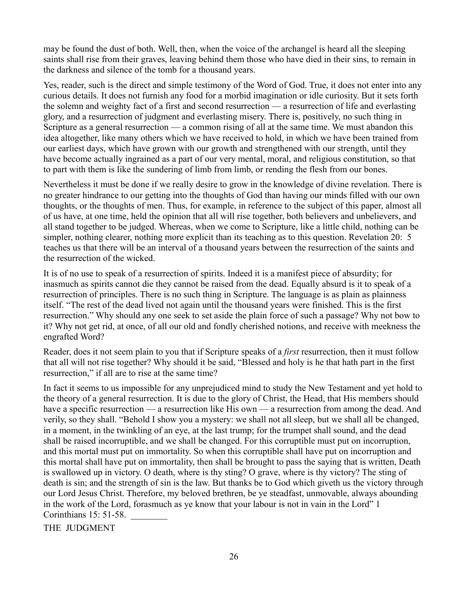may be found the dust of both. Well, then, when the voice of the archangel is heard all the sleeping saints shall rise from their graves, leaving behind them those who have died in their sins, to remain in the darkness and silence of the tomb for a thousand years.

Yes, reader, such is the direct and simple testimony of the Word of God. True, it does not enter into any curious details. It does not furnish any food for a morbid imagination or idle curiosity. But it sets forth the solemn and weighty fact of a first and second resurrection — a resurrection of life and everlasting glory, and a resurrection of judgment and everlasting misery. There is, positively, no such thing in Scripture as a general resurrection — a common rising of all at the same time. We must abandon this idea altogether, like many others which we have received to hold, in which we have been trained from our earliest days, which have grown with our growth and strengthened with our strength, until they have become actually ingrained as a part of our very mental, moral, and religious constitution, so that to part with them is like the sundering of limb from limb, or rending the flesh from our bones.

Nevertheless it must be done if we really desire to grow in the knowledge of divine revelation. There is no greater hindrance to our getting into the thoughts of God than having our minds filled with our own thoughts, or the thoughts of men. Thus, for example, in reference to the subject of this paper, almost all of us have, at one time, held the opinion that all will rise together, both believers and unbelievers, and all stand together to be judged. Whereas, when we come to Scripture, like a little child, nothing can be simpler, nothing clearer, nothing more explicit than its teaching as to this question. Revelation 20: 5 teaches us that there will be an interval of a thousand years between the resurrection of the saints and the resurrection of the wicked.

It is of no use to speak of a resurrection of spirits. Indeed it is a manifest piece of absurdity; for inasmuch as spirits cannot die they cannot be raised from the dead. Equally absurd is it to speak of a resurrection of principles. There is no such thing in Scripture. The language is as plain as plainness itself. "The rest of the dead lived not again until the thousand years were finished. This is the first resurrection." Why should any one seek to set aside the plain force of such a passage? Why not bow to it? Why not get rid, at once, of all our old and fondly cherished notions, and receive with meekness the engrafted Word?

Reader, does it not seem plain to you that if Scripture speaks of a *first* resurrection, then it must follow that all will not rise together? Why should it be said, "Blessed and holy is he that hath part in the first resurrection," if all are to rise at the same time?

In fact it seems to us impossible for any unprejudiced mind to study the New Testament and yet hold to the theory of a general resurrection. It is due to the glory of Christ, the Head, that His members should have a specific resurrection — a resurrection like His own — a resurrection from among the dead. And verily, so they shall. "Behold I show you a mystery: we shall not all sleep, but we shall all be changed, in a moment, in the twinkling of an eye, at the last trump; for the trumpet shall sound, and the dead shall be raised incorruptible, and we shall be changed. For this corruptible must put on incorruption, and this mortal must put on immortality. So when this corruptible shall have put on incorruption and this mortal shall have put on immortality, then shall be brought to pass the saying that is written, Death is swallowed up in victory. O death, where is thy sting? O grave, where is thy victory? The sting of death is sin; and the strength of sin is the law. But thanks be to God which giveth us the victory through our Lord Jesus Christ. Therefore, my beloved brethren, be ye steadfast, unmovable, always abounding in the work of the Lord, forasmuch as ye know that your labour is not in vain in the Lord" 1 Corinthians 15: 51-58. \_\_\_\_\_\_\_\_

THE JUDGMENT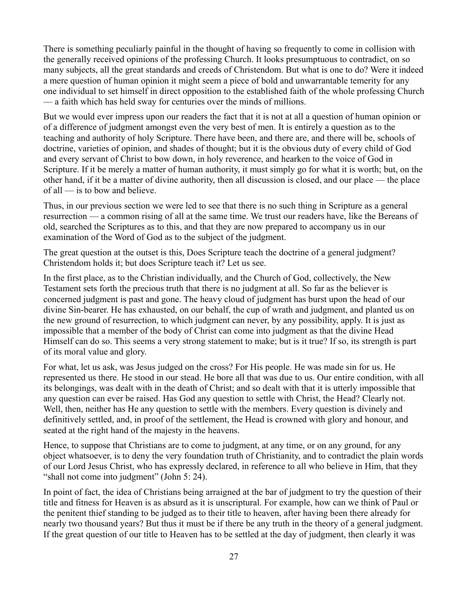There is something peculiarly painful in the thought of having so frequently to come in collision with the generally received opinions of the professing Church. It looks presumptuous to contradict, on so many subjects, all the great standards and creeds of Christendom. But what is one to do? Were it indeed a mere question of human opinion it might seem a piece of bold and unwarrantable temerity for any one individual to set himself in direct opposition to the established faith of the whole professing Church — a faith which has held sway for centuries over the minds of millions.

But we would ever impress upon our readers the fact that it is not at all a question of human opinion or of a difference of judgment amongst even the very best of men. It is entirely a question as to the teaching and authority of holy Scripture. There have been, and there are, and there will be, schools of doctrine, varieties of opinion, and shades of thought; but it is the obvious duty of every child of God and every servant of Christ to bow down, in holy reverence, and hearken to the voice of God in Scripture. If it be merely a matter of human authority, it must simply go for what it is worth; but, on the other hand, if it be a matter of divine authority, then all discussion is closed, and our place — the place of all — is to bow and believe.

Thus, in our previous section we were led to see that there is no such thing in Scripture as a general resurrection — a common rising of all at the same time. We trust our readers have, like the Bereans of old, searched the Scriptures as to this, and that they are now prepared to accompany us in our examination of the Word of God as to the subject of the judgment.

The great question at the outset is this, Does Scripture teach the doctrine of a general judgment? Christendom holds it; but does Scripture teach it? Let us see.

In the first place, as to the Christian individually, and the Church of God, collectively, the New Testament sets forth the precious truth that there is no judgment at all. So far as the believer is concerned judgment is past and gone. The heavy cloud of judgment has burst upon the head of our divine Sin-bearer. He has exhausted, on our behalf, the cup of wrath and judgment, and planted us on the new ground of resurrection, to which judgment can never, by any possibility, apply. It is just as impossible that a member of the body of Christ can come into judgment as that the divine Head Himself can do so. This seems a very strong statement to make; but is it true? If so, its strength is part of its moral value and glory.

For what, let us ask, was Jesus judged on the cross? For His people. He was made sin for us. He represented us there. He stood in our stead. He bore all that was due to us. Our entire condition, with all its belongings, was dealt with in the death of Christ; and so dealt with that it is utterly impossible that any question can ever be raised. Has God any question to settle with Christ, the Head? Clearly not. Well, then, neither has He any question to settle with the members. Every question is divinely and definitively settled, and, in proof of the settlement, the Head is crowned with glory and honour, and seated at the right hand of the majesty in the heavens.

Hence, to suppose that Christians are to come to judgment, at any time, or on any ground, for any object whatsoever, is to deny the very foundation truth of Christianity, and to contradict the plain words of our Lord Jesus Christ, who has expressly declared, in reference to all who believe in Him, that they "shall not come into judgment" (John 5: 24).

In point of fact, the idea of Christians being arraigned at the bar of judgment to try the question of their title and fitness for Heaven is as absurd as it is unscriptural. For example, how can we think of Paul or the penitent thief standing to be judged as to their title to heaven, after having been there already for nearly two thousand years? But thus it must be if there be any truth in the theory of a general judgment. If the great question of our title to Heaven has to be settled at the day of judgment, then clearly it was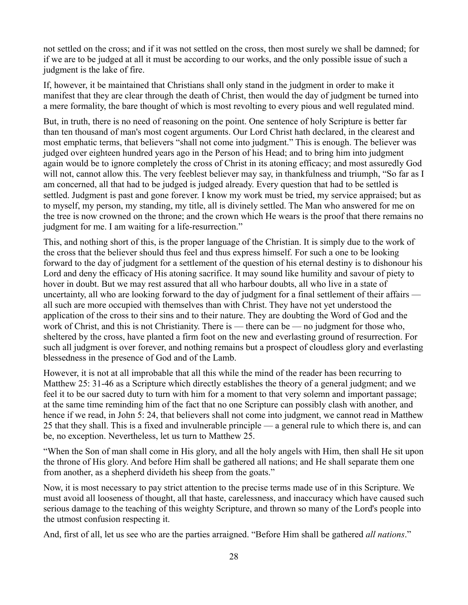not settled on the cross; and if it was not settled on the cross, then most surely we shall be damned; for if we are to be judged at all it must be according to our works, and the only possible issue of such a judgment is the lake of fire.

If, however, it be maintained that Christians shall only stand in the judgment in order to make it manifest that they are clear through the death of Christ, then would the day of judgment be turned into a mere formality, the bare thought of which is most revolting to every pious and well regulated mind.

But, in truth, there is no need of reasoning on the point. One sentence of holy Scripture is better far than ten thousand of man's most cogent arguments. Our Lord Christ hath declared, in the clearest and most emphatic terms, that believers "shall not come into judgment." This is enough. The believer was judged over eighteen hundred years ago in the Person of his Head; and to bring him into judgment again would be to ignore completely the cross of Christ in its atoning efficacy; and most assuredly God will not, cannot allow this. The very feeblest believer may say, in thankfulness and triumph, "So far as I am concerned, all that had to be judged is judged already. Every question that had to be settled is settled. Judgment is past and gone forever. I know my work must be tried, my service appraised; but as to myself, my person, my standing, my title, all is divinely settled. The Man who answered for me on the tree is now crowned on the throne; and the crown which He wears is the proof that there remains no judgment for me. I am waiting for a life-resurrection."

This, and nothing short of this, is the proper language of the Christian. It is simply due to the work of the cross that the believer should thus feel and thus express himself. For such a one to be looking forward to the day of judgment for a settlement of the question of his eternal destiny is to dishonour his Lord and deny the efficacy of His atoning sacrifice. It may sound like humility and savour of piety to hover in doubt. But we may rest assured that all who harbour doubts, all who live in a state of uncertainty, all who are looking forward to the day of judgment for a final settlement of their affairs all such are more occupied with themselves than with Christ. They have not yet understood the application of the cross to their sins and to their nature. They are doubting the Word of God and the work of Christ, and this is not Christianity. There is — there can be — no judgment for those who, sheltered by the cross, have planted a firm foot on the new and everlasting ground of resurrection. For such all judgment is over forever, and nothing remains but a prospect of cloudless glory and everlasting blessedness in the presence of God and of the Lamb.

However, it is not at all improbable that all this while the mind of the reader has been recurring to Matthew 25: 31-46 as a Scripture which directly establishes the theory of a general judgment; and we feel it to be our sacred duty to turn with him for a moment to that very solemn and important passage; at the same time reminding him of the fact that no one Scripture can possibly clash with another, and hence if we read, in John 5: 24, that believers shall not come into judgment, we cannot read in Matthew 25 that they shall. This is a fixed and invulnerable principle — a general rule to which there is, and can be, no exception. Nevertheless, let us turn to Matthew 25.

"When the Son of man shall come in His glory, and all the holy angels with Him, then shall He sit upon the throne of His glory. And before Him shall be gathered all nations; and He shall separate them one from another, as a shepherd divideth his sheep from the goats."

Now, it is most necessary to pay strict attention to the precise terms made use of in this Scripture. We must avoid all looseness of thought, all that haste, carelessness, and inaccuracy which have caused such serious damage to the teaching of this weighty Scripture, and thrown so many of the Lord's people into the utmost confusion respecting it.

And, first of all, let us see who are the parties arraigned. "Before Him shall be gathered *all nations*."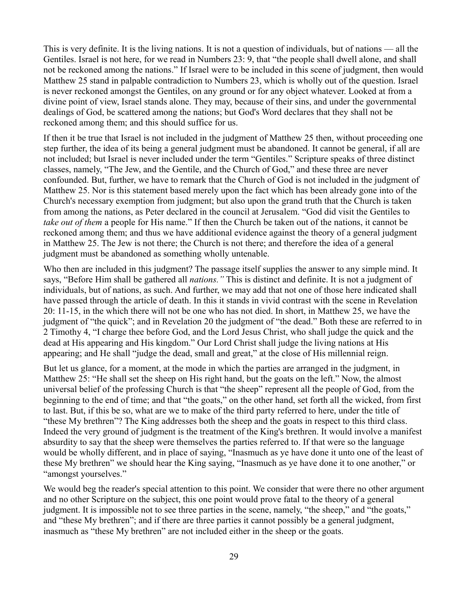This is very definite. It is the living nations. It is not a question of individuals, but of nations — all the Gentiles. Israel is not here, for we read in Numbers 23: 9, that "the people shall dwell alone, and shall not be reckoned among the nations." If Israel were to be included in this scene of judgment, then would Matthew 25 stand in palpable contradiction to Numbers 23, which is wholly out of the question. Israel is never reckoned amongst the Gentiles, on any ground or for any object whatever. Looked at from a divine point of view, Israel stands alone. They may, because of their sins, and under the governmental dealings of God, be scattered among the nations; but God's Word declares that they shall not be reckoned among them; and this should suffice for us.

If then it be true that Israel is not included in the judgment of Matthew 25 then, without proceeding one step further, the idea of its being a general judgment must be abandoned. It cannot be general, if all are not included; but Israel is never included under the term "Gentiles." Scripture speaks of three distinct classes, namely, "The Jew, and the Gentile, and the Church of God," and these three are never confounded. But, further, we have to remark that the Church of God is not included in the judgment of Matthew 25. Nor is this statement based merely upon the fact which has been already gone into of the Church's necessary exemption from judgment; but also upon the grand truth that the Church is taken from among the nations, as Peter declared in the council at Jerusalem. "God did visit the Gentiles to *take out of them* a people for His name." If then the Church be taken out of the nations, it cannot be reckoned among them; and thus we have additional evidence against the theory of a general judgment in Matthew 25. The Jew is not there; the Church is not there; and therefore the idea of a general judgment must be abandoned as something wholly untenable.

Who then are included in this judgment? The passage itself supplies the answer to any simple mind. It says, "Before Him shall be gathered all *nations."* This is distinct and definite. It is not a judgment of individuals, but of nations, as such. And further, we may add that not one of those here indicated shall have passed through the article of death. In this it stands in vivid contrast with the scene in Revelation 20: 11-15, in the which there will not be one who has not died. In short, in Matthew 25, we have the judgment of "the quick"; and in Revelation 20 the judgment of "the dead." Both these are referred to in 2 Timothy 4, "I charge thee before God, and the Lord Jesus Christ, who shall judge the quick and the dead at His appearing and His kingdom." Our Lord Christ shall judge the living nations at His appearing; and He shall "judge the dead, small and great," at the close of His millennial reign.

But let us glance, for a moment, at the mode in which the parties are arranged in the judgment, in Matthew 25: "He shall set the sheep on His right hand, but the goats on the left." Now, the almost universal belief of the professing Church is that "the sheep" represent all the people of God, from the beginning to the end of time; and that "the goats," on the other hand, set forth all the wicked, from first to last. But, if this be so, what are we to make of the third party referred to here, under the title of "these My brethren"? The King addresses both the sheep and the goats in respect to this third class. Indeed the very ground of judgment is the treatment of the King's brethren. It would involve a manifest absurdity to say that the sheep were themselves the parties referred to. If that were so the language would be wholly different, and in place of saying, "Inasmuch as ye have done it unto one of the least of these My brethren" we should hear the King saying, "Inasmuch as ye have done it to one another," or "amongst yourselves."

We would beg the reader's special attention to this point. We consider that were there no other argument and no other Scripture on the subject, this one point would prove fatal to the theory of a general judgment. It is impossible not to see three parties in the scene, namely, "the sheep," and "the goats," and "these My brethren"; and if there are three parties it cannot possibly be a general judgment, inasmuch as "these My brethren" are not included either in the sheep or the goats.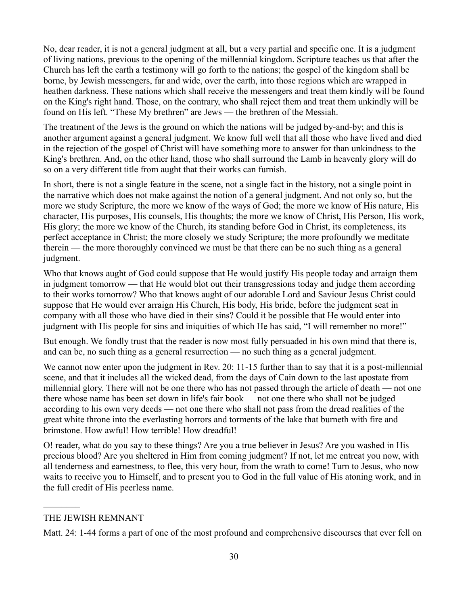No, dear reader, it is not a general judgment at all, but a very partial and specific one. It is a judgment of living nations, previous to the opening of the millennial kingdom. Scripture teaches us that after the Church has left the earth a testimony will go forth to the nations; the gospel of the kingdom shall be borne, by Jewish messengers, far and wide, over the earth, into those regions which are wrapped in heathen darkness. These nations which shall receive the messengers and treat them kindly will be found on the King's right hand. Those, on the contrary, who shall reject them and treat them unkindly will be found on His left. "These My brethren" are Jews — the brethren of the Messiah.

The treatment of the Jews is the ground on which the nations will be judged by-and-by; and this is another argument against a general judgment. We know full well that all those who have lived and died in the rejection of the gospel of Christ will have something more to answer for than unkindness to the King's brethren. And, on the other hand, those who shall surround the Lamb in heavenly glory will do so on a very different title from aught that their works can furnish.

In short, there is not a single feature in the scene, not a single fact in the history, not a single point in the narrative which does not make against the notion of a general judgment. And not only so, but the more we study Scripture, the more we know of the ways of God; the more we know of His nature, His character, His purposes, His counsels, His thoughts; the more we know of Christ, His Person, His work, His glory; the more we know of the Church, its standing before God in Christ, its completeness, its perfect acceptance in Christ; the more closely we study Scripture; the more profoundly we meditate therein — the more thoroughly convinced we must be that there can be no such thing as a general judgment.

Who that knows aught of God could suppose that He would justify His people today and arraign them in judgment tomorrow — that He would blot out their transgressions today and judge them according to their works tomorrow? Who that knows aught of our adorable Lord and Saviour Jesus Christ could suppose that He would ever arraign His Church, His body, His bride, before the judgment seat in company with all those who have died in their sins? Could it be possible that He would enter into judgment with His people for sins and iniquities of which He has said, "I will remember no more!"

But enough. We fondly trust that the reader is now most fully persuaded in his own mind that there is, and can be, no such thing as a general resurrection — no such thing as a general judgment.

We cannot now enter upon the judgment in Rev. 20: 11-15 further than to say that it is a post-millennial scene, and that it includes all the wicked dead, from the days of Cain down to the last apostate from millennial glory. There will not be one there who has not passed through the article of death — not one there whose name has been set down in life's fair book — not one there who shall not be judged according to his own very deeds — not one there who shall not pass from the dread realities of the great white throne into the everlasting horrors and torments of the lake that burneth with fire and brimstone. How awful! How terrible! How dreadful!

O! reader, what do you say to these things? Are you a true believer in Jesus? Are you washed in His precious blood? Are you sheltered in Him from coming judgment? If not, let me entreat you now, with all tenderness and earnestness, to flee, this very hour, from the wrath to come! Turn to Jesus, who now waits to receive you to Himself, and to present you to God in the full value of His atoning work, and in the full credit of His peerless name.

 $\frac{1}{2}$ 

Matt. 24: 1-44 forms a part of one of the most profound and comprehensive discourses that ever fell on

THE JEWISH REMNANT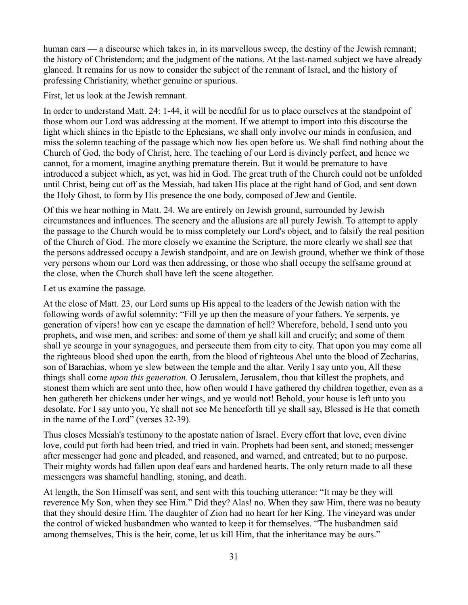human ears — a discourse which takes in, in its marvellous sweep, the destiny of the Jewish remnant; the history of Christendom; and the judgment of the nations. At the last-named subject we have already glanced. It remains for us now to consider the subject of the remnant of Israel, and the history of professing Christianity, whether genuine or spurious.

First, let us look at the Jewish remnant.

In order to understand Matt. 24: 1-44, it will be needful for us to place ourselves at the standpoint of those whom our Lord was addressing at the moment. If we attempt to import into this discourse the light which shines in the Epistle to the Ephesians, we shall only involve our minds in confusion, and miss the solemn teaching of the passage which now lies open before us. We shall find nothing about the Church of God, the body of Christ, here. The teaching of our Lord is divinely perfect, and hence we cannot, for a moment, imagine anything premature therein. But it would be premature to have introduced a subject which, as yet, was hid in God. The great truth of the Church could not be unfolded until Christ, being cut off as the Messiah, had taken His place at the right hand of God, and sent down the Holy Ghost, to form by His presence the one body, composed of Jew and Gentile.

Of this we hear nothing in Matt. 24. We are entirely on Jewish ground, surrounded by Jewish circumstances and influences. The scenery and the allusions are all purely Jewish. To attempt to apply the passage to the Church would be to miss completely our Lord's object, and to falsify the real position of the Church of God. The more closely we examine the Scripture, the more clearly we shall see that the persons addressed occupy a Jewish standpoint, and are on Jewish ground, whether we think of those very persons whom our Lord was then addressing, or those who shall occupy the selfsame ground at the close, when the Church shall have left the scene altogether.

Let us examine the passage.

At the close of Matt. 23, our Lord sums up His appeal to the leaders of the Jewish nation with the following words of awful solemnity: "Fill ye up then the measure of your fathers. Ye serpents, ye generation of vipers! how can ye escape the damnation of hell? Wherefore, behold, I send unto you prophets, and wise men, and scribes: and some of them ye shall kill and crucify; and some of them shall ye scourge in your synagogues, and persecute them from city to city. That upon you may come all the righteous blood shed upon the earth, from the blood of righteous Abel unto the blood of Zecharias, son of Barachias, whom ye slew between the temple and the altar. Verily I say unto you, All these things shall come *upon this generation.* O Jerusalem, Jerusalem, thou that killest the prophets, and stonest them which are sent unto thee, how often would I have gathered thy children together, even as a hen gathereth her chickens under her wings, and ye would not! Behold, your house is left unto you desolate. For I say unto you, Ye shall not see Me henceforth till ye shall say, Blessed is He that cometh in the name of the Lord" (verses 32-39).

Thus closes Messiah's testimony to the apostate nation of Israel. Every effort that love, even divine love, could put forth had been tried, and tried in vain. Prophets had been sent, and stoned; messenger after messenger had gone and pleaded, and reasoned, and warned, and entreated; but to no purpose. Their mighty words had fallen upon deaf ears and hardened hearts. The only return made to all these messengers was shameful handling, stoning, and death.

At length, the Son Himself was sent, and sent with this touching utterance: "It may be they will reverence My Son, when they see Him." Did they? Alas! no. When they saw Him, there was no beauty that they should desire Him. The daughter of Zion had no heart for her King. The vineyard was under the control of wicked husbandmen who wanted to keep it for themselves. "The husbandmen said among themselves, This is the heir, come, let us kill Him, that the inheritance may be ours."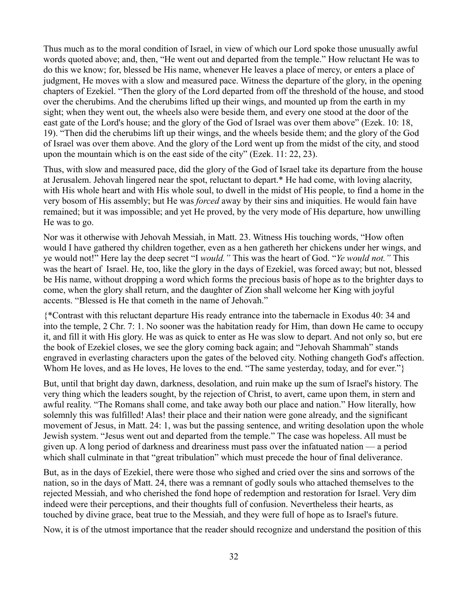Thus much as to the moral condition of Israel, in view of which our Lord spoke those unusually awful words quoted above; and, then, "He went out and departed from the temple." How reluctant He was to do this we know; for, blessed be His name, whenever He leaves a place of mercy, or enters a place of judgment, He moves with a slow and measured pace. Witness the departure of the glory, in the opening chapters of Ezekiel. "Then the glory of the Lord departed from off the threshold of the house, and stood over the cherubims. And the cherubims lifted up their wings, and mounted up from the earth in my sight; when they went out, the wheels also were beside them, and every one stood at the door of the east gate of the Lord's house; and the glory of the God of Israel was over them above" (Ezek. 10: 18, 19). "Then did the cherubims lift up their wings, and the wheels beside them; and the glory of the God of Israel was over them above. And the glory of the Lord went up from the midst of the city, and stood upon the mountain which is on the east side of the city" (Ezek. 11: 22, 23).

Thus, with slow and measured pace, did the glory of the God of Israel take its departure from the house at Jerusalem. Jehovah lingered near the spot, reluctant to depart.\* He had come, with loving alacrity, with His whole heart and with His whole soul, to dwell in the midst of His people, to find a home in the very bosom of His assembly; but He was *forced* away by their sins and iniquities. He would fain have remained; but it was impossible; and yet He proved, by the very mode of His departure, how unwilling He was to go.

Nor was it otherwise with Jehovah Messiah, in Matt. 23. Witness His touching words, "How often would I have gathered thy children together, even as a hen gathereth her chickens under her wings, and ye would not!" Here lay the deep secret "I *would."* This was the heart of God. "*Ye would not."* This was the heart of Israel. He, too, like the glory in the days of Ezekiel, was forced away; but not, blessed be His name, without dropping a word which forms the precious basis of hope as to the brighter days to come, when the glory shall return, and the daughter of Zion shall welcome her King with joyful accents. "Blessed is He that cometh in the name of Jehovah."

{\*Contrast with this reluctant departure His ready entrance into the tabernacle in Exodus 40: 34 and into the temple, 2 Chr. 7: 1. No sooner was the habitation ready for Him, than down He came to occupy it, and fill it with His glory. He was as quick to enter as He was slow to depart. And not only so, but ere the book of Ezekiel closes, we see the glory coming back again; and "Jehovah Shammah" stands engraved in everlasting characters upon the gates of the beloved city. Nothing changeth God's affection. Whom He loves, and as He loves, He loves to the end. "The same yesterday, today, and for ever."}

But, until that bright day dawn, darkness, desolation, and ruin make up the sum of Israel's history. The very thing which the leaders sought, by the rejection of Christ, to avert, came upon them, in stern and awful reality. "The Romans shall come, and take away both our place and nation." How literally, how solemnly this was fulfilled! Alas! their place and their nation were gone already, and the significant movement of Jesus, in Matt. 24: 1, was but the passing sentence, and writing desolation upon the whole Jewish system. "Jesus went out and departed from the temple." The case was hopeless. All must be given up. A long period of darkness and dreariness must pass over the infatuated nation — a period which shall culminate in that "great tribulation" which must precede the hour of final deliverance.

But, as in the days of Ezekiel, there were those who sighed and cried over the sins and sorrows of the nation, so in the days of Matt. 24, there was a remnant of godly souls who attached themselves to the rejected Messiah, and who cherished the fond hope of redemption and restoration for Israel. Very dim indeed were their perceptions, and their thoughts full of confusion. Nevertheless their hearts, as touched by divine grace, beat true to the Messiah, and they were full of hope as to Israel's future.

Now, it is of the utmost importance that the reader should recognize and understand the position of this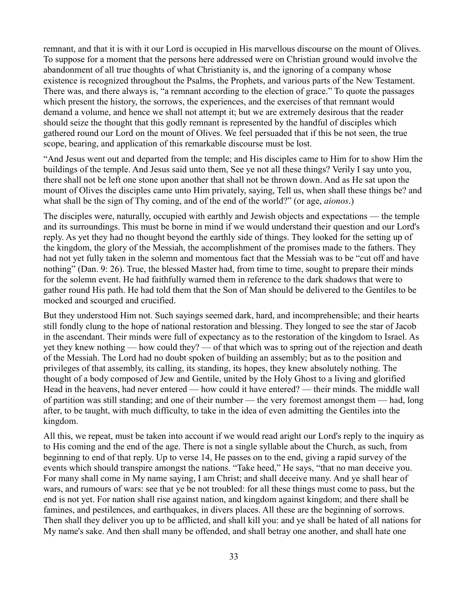remnant, and that it is with it our Lord is occupied in His marvellous discourse on the mount of Olives. To suppose for a moment that the persons here addressed were on Christian ground would involve the abandonment of all true thoughts of what Christianity is, and the ignoring of a company whose existence is recognized throughout the Psalms, the Prophets, and various parts of the New Testament. There was, and there always is, "a remnant according to the election of grace." To quote the passages which present the history, the sorrows, the experiences, and the exercises of that remnant would demand a volume, and hence we shall not attempt it; but we are extremely desirous that the reader should seize the thought that this godly remnant is represented by the handful of disciples which gathered round our Lord on the mount of Olives. We feel persuaded that if this be not seen, the true scope, bearing, and application of this remarkable discourse must be lost.

"And Jesus went out and departed from the temple; and His disciples came to Him for to show Him the buildings of the temple. And Jesus said unto them, See ye not all these things? Verily I say unto you, there shall not be left one stone upon another that shall not be thrown down. And as He sat upon the mount of Olives the disciples came unto Him privately, saying, Tell us, when shall these things be? and what shall be the sign of Thy coming, and of the end of the world?" (or age, *aionos*.)

The disciples were, naturally, occupied with earthly and Jewish objects and expectations — the temple and its surroundings. This must be borne in mind if we would understand their question and our Lord's reply. As yet they had no thought beyond the earthly side of things. They looked for the setting up of the kingdom, the glory of the Messiah, the accomplishment of the promises made to the fathers. They had not yet fully taken in the solemn and momentous fact that the Messiah was to be "cut off and have nothing" (Dan. 9: 26). True, the blessed Master had, from time to time, sought to prepare their minds for the solemn event. He had faithfully warned them in reference to the dark shadows that were to gather round His path. He had told them that the Son of Man should be delivered to the Gentiles to be mocked and scourged and crucified.

But they understood Him not. Such sayings seemed dark, hard, and incomprehensible; and their hearts still fondly clung to the hope of national restoration and blessing. They longed to see the star of Jacob in the ascendant. Their minds were full of expectancy as to the restoration of the kingdom to Israel. As yet they knew nothing — how could they? — of that which was to spring out of the rejection and death of the Messiah. The Lord had no doubt spoken of building an assembly; but as to the position and privileges of that assembly, its calling, its standing, its hopes, they knew absolutely nothing. The thought of a body composed of Jew and Gentile, united by the Holy Ghost to a living and glorified Head in the heavens, had never entered — how could it have entered? — their minds. The middle wall of partition was still standing; and one of their number — the very foremost amongst them — had, long after, to be taught, with much difficulty, to take in the idea of even admitting the Gentiles into the kingdom.

All this, we repeat, must be taken into account if we would read aright our Lord's reply to the inquiry as to His coming and the end of the age. There is not a single syllable about the Church, as such, from beginning to end of that reply. Up to verse 14, He passes on to the end, giving a rapid survey of the events which should transpire amongst the nations. "Take heed," He says, "that no man deceive you. For many shall come in My name saying, I am Christ; and shall deceive many. And ye shall hear of wars, and rumours of wars: see that ye be not troubled: for all these things must come to pass, but the end is not yet. For nation shall rise against nation, and kingdom against kingdom; and there shall be famines, and pestilences, and earthquakes, in divers places. All these are the beginning of sorrows. Then shall they deliver you up to be afflicted, and shall kill you: and ye shall be hated of all nations for My name's sake. And then shall many be offended, and shall betray one another, and shall hate one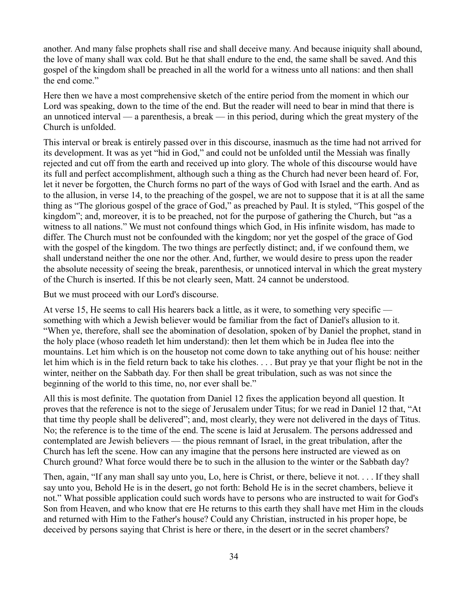another. And many false prophets shall rise and shall deceive many. And because iniquity shall abound, the love of many shall wax cold. But he that shall endure to the end, the same shall be saved. And this gospel of the kingdom shall be preached in all the world for a witness unto all nations: and then shall the end come."

Here then we have a most comprehensive sketch of the entire period from the moment in which our Lord was speaking, down to the time of the end. But the reader will need to bear in mind that there is an unnoticed interval — a parenthesis, a break — in this period, during which the great mystery of the Church is unfolded.

This interval or break is entirely passed over in this discourse, inasmuch as the time had not arrived for its development. It was as yet "hid in God," and could not be unfolded until the Messiah was finally rejected and cut off from the earth and received up into glory. The whole of this discourse would have its full and perfect accomplishment, although such a thing as the Church had never been heard of. For, let it never be forgotten, the Church forms no part of the ways of God with Israel and the earth. And as to the allusion, in verse 14, to the preaching of the gospel, we are not to suppose that it is at all the same thing as "The glorious gospel of the grace of God," as preached by Paul. It is styled, "This gospel of the kingdom"; and, moreover, it is to be preached, not for the purpose of gathering the Church, but "as a witness to all nations." We must not confound things which God, in His infinite wisdom, has made to differ. The Church must not be confounded with the kingdom; nor yet the gospel of the grace of God with the gospel of the kingdom. The two things are perfectly distinct; and, if we confound them, we shall understand neither the one nor the other. And, further, we would desire to press upon the reader the absolute necessity of seeing the break, parenthesis, or unnoticed interval in which the great mystery of the Church is inserted. If this be not clearly seen, Matt. 24 cannot be understood.

But we must proceed with our Lord's discourse.

At verse 15, He seems to call His hearers back a little, as it were, to something very specific something with which a Jewish believer would be familiar from the fact of Daniel's allusion to it. "When ye, therefore, shall see the abomination of desolation, spoken of by Daniel the prophet, stand in the holy place (whoso readeth let him understand): then let them which be in Judea flee into the mountains. Let him which is on the housetop not come down to take anything out of his house: neither let him which is in the field return back to take his clothes. . . . But pray ye that your flight be not in the winter, neither on the Sabbath day. For then shall be great tribulation, such as was not since the beginning of the world to this time, no, nor ever shall be."

All this is most definite. The quotation from Daniel 12 fixes the application beyond all question. It proves that the reference is not to the siege of Jerusalem under Titus; for we read in Daniel 12 that, "At that time thy people shall be delivered"; and, most clearly, they were not delivered in the days of Titus. No; the reference is to the time of the end. The scene is laid at Jerusalem. The persons addressed and contemplated are Jewish believers — the pious remnant of Israel, in the great tribulation, after the Church has left the scene. How can any imagine that the persons here instructed are viewed as on Church ground? What force would there be to such in the allusion to the winter or the Sabbath day?

Then, again, "If any man shall say unto you, Lo, here is Christ, or there, believe it not. . . . If they shall say unto you, Behold He is in the desert, go not forth: Behold He is in the secret chambers, believe it not." What possible application could such words have to persons who are instructed to wait for God's Son from Heaven, and who know that ere He returns to this earth they shall have met Him in the clouds and returned with Him to the Father's house? Could any Christian, instructed in his proper hope, be deceived by persons saying that Christ is here or there, in the desert or in the secret chambers?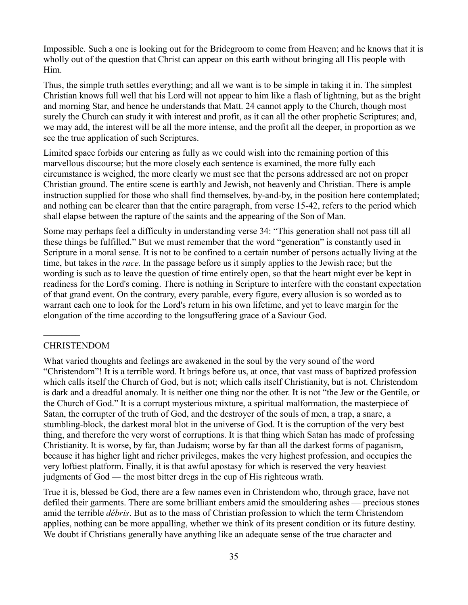Impossible. Such a one is looking out for the Bridegroom to come from Heaven; and he knows that it is wholly out of the question that Christ can appear on this earth without bringing all His people with Him.

Thus, the simple truth settles everything; and all we want is to be simple in taking it in. The simplest Christian knows full well that his Lord will not appear to him like a flash of lightning, but as the bright and morning Star, and hence he understands that Matt. 24 cannot apply to the Church, though most surely the Church can study it with interest and profit, as it can all the other prophetic Scriptures; and, we may add, the interest will be all the more intense, and the profit all the deeper, in proportion as we see the true application of such Scriptures.

Limited space forbids our entering as fully as we could wish into the remaining portion of this marvellous discourse; but the more closely each sentence is examined, the more fully each circumstance is weighed, the more clearly we must see that the persons addressed are not on proper Christian ground. The entire scene is earthly and Jewish, not heavenly and Christian. There is ample instruction supplied for those who shall find themselves, by-and-by, in the position here contemplated; and nothing can be clearer than that the entire paragraph, from verse 15-42, refers to the period which shall elapse between the rapture of the saints and the appearing of the Son of Man.

Some may perhaps feel a difficulty in understanding verse 34: "This generation shall not pass till all these things be fulfilled." But we must remember that the word "generation" is constantly used in Scripture in a moral sense. It is not to be confined to a certain number of persons actually living at the time, but takes in the *race.* In the passage before us it simply applies to the Jewish race; but the wording is such as to leave the question of time entirely open, so that the heart might ever be kept in readiness for the Lord's coming. There is nothing in Scripture to interfere with the constant expectation of that grand event. On the contrary, every parable, every figure, every allusion is so worded as to warrant each one to look for the Lord's return in his own lifetime, and yet to leave margin for the elongation of the time according to the longsuffering grace of a Saviour God.

#### CHRISTENDOM

 $\frac{1}{2}$ 

What varied thoughts and feelings are awakened in the soul by the very sound of the word "Christendom"! It is a terrible word. It brings before us, at once, that vast mass of baptized profession which calls itself the Church of God, but is not; which calls itself Christianity, but is not. Christendom is dark and a dreadful anomaly. It is neither one thing nor the other. It is not "the Jew or the Gentile, or the Church of God." It is a corrupt mysterious mixture, a spiritual malformation, the masterpiece of Satan, the corrupter of the truth of God, and the destroyer of the souls of men, a trap, a snare, a stumbling-block, the darkest moral blot in the universe of God. It is the corruption of the very best thing, and therefore the very worst of corruptions. It is that thing which Satan has made of professing Christianity. It is worse, by far, than Judaism; worse by far than all the darkest forms of paganism, because it has higher light and richer privileges, makes the very highest profession, and occupies the very loftiest platform. Finally, it is that awful apostasy for which is reserved the very heaviest judgments of God — the most bitter dregs in the cup of His righteous wrath.

True it is, blessed be God, there are a few names even in Christendom who, through grace, have not defiled their garments. There are some brilliant embers amid the smouldering ashes — precious stones amid the terrible *débris*. But as to the mass of Christian profession to which the term Christendom applies, nothing can be more appalling, whether we think of its present condition or its future destiny. We doubt if Christians generally have anything like an adequate sense of the true character and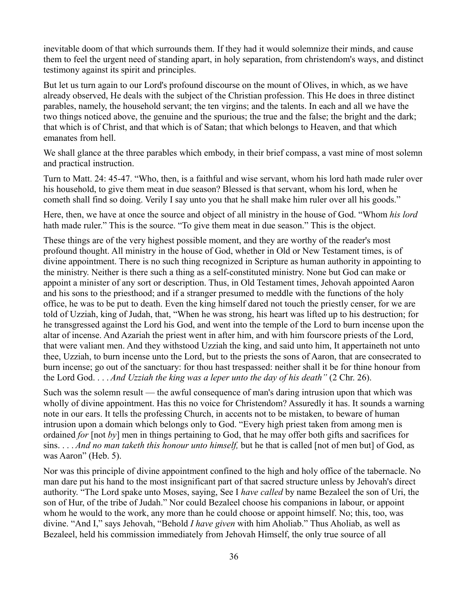inevitable doom of that which surrounds them. If they had it would solemnize their minds, and cause them to feel the urgent need of standing apart, in holy separation, from christendom's ways, and distinct testimony against its spirit and principles.

But let us turn again to our Lord's profound discourse on the mount of Olives, in which, as we have already observed, He deals with the subject of the Christian profession. This He does in three distinct parables, namely, the household servant; the ten virgins; and the talents. In each and all we have the two things noticed above, the genuine and the spurious; the true and the false; the bright and the dark; that which is of Christ, and that which is of Satan; that which belongs to Heaven, and that which emanates from hell.

We shall glance at the three parables which embody, in their brief compass, a vast mine of most solemn and practical instruction.

Turn to Matt. 24: 45-47. "Who, then, is a faithful and wise servant, whom his lord hath made ruler over his household, to give them meat in due season? Blessed is that servant, whom his lord, when he cometh shall find so doing. Verily I say unto you that he shall make him ruler over all his goods."

Here, then, we have at once the source and object of all ministry in the house of God. "Whom *his lord* hath made ruler." This is the source. "To give them meat in due season." This is the object.

These things are of the very highest possible moment, and they are worthy of the reader's most profound thought. All ministry in the house of God, whether in Old or New Testament times, is of divine appointment. There is no such thing recognized in Scripture as human authority in appointing to the ministry. Neither is there such a thing as a self-constituted ministry. None but God can make or appoint a minister of any sort or description. Thus, in Old Testament times, Jehovah appointed Aaron and his sons to the priesthood; and if a stranger presumed to meddle with the functions of the holy office, he was to be put to death. Even the king himself dared not touch the priestly censer, for we are told of Uzziah, king of Judah, that, "When he was strong, his heart was lifted up to his destruction; for he transgressed against the Lord his God, and went into the temple of the Lord to burn incense upon the altar of incense. And Azariah the priest went in after him, and with him fourscore priests of the Lord, that were valiant men. And they withstood Uzziah the king, and said unto him, It appertaineth not unto thee, Uzziah, to burn incense unto the Lord, but to the priests the sons of Aaron, that are consecrated to burn incense; go out of the sanctuary: for thou hast trespassed: neither shall it be for thine honour from the Lord God. . . . *And Uzziah the king was a leper unto the day of his death"* (2 Chr. 26).

Such was the solemn result — the awful consequence of man's daring intrusion upon that which was wholly of divine appointment. Has this no voice for Christendom? Assuredly it has. It sounds a warning note in our ears. It tells the professing Church, in accents not to be mistaken, to beware of human intrusion upon a domain which belongs only to God. "Every high priest taken from among men is ordained *for* [not *by*] men in things pertaining to God, that he may offer both gifts and sacrifices for sins. . . . *And no man taketh this honour unto himself,* but he that is called [not of men but] of God, as was Aaron" (Heb. 5).

Nor was this principle of divine appointment confined to the high and holy office of the tabernacle. No man dare put his hand to the most insignificant part of that sacred structure unless by Jehovah's direct authority. "The Lord spake unto Moses, saying, See I *have called* by name Bezaleel the son of Uri, the son of Hur, of the tribe of Judah." Nor could Bezaleel choose his companions in labour, or appoint whom he would to the work, any more than he could choose or appoint himself. No; this, too, was divine. "And I," says Jehovah, "Behold *I have given* with him Aholiab." Thus Aholiab, as well as Bezaleel, held his commission immediately from Jehovah Himself, the only true source of all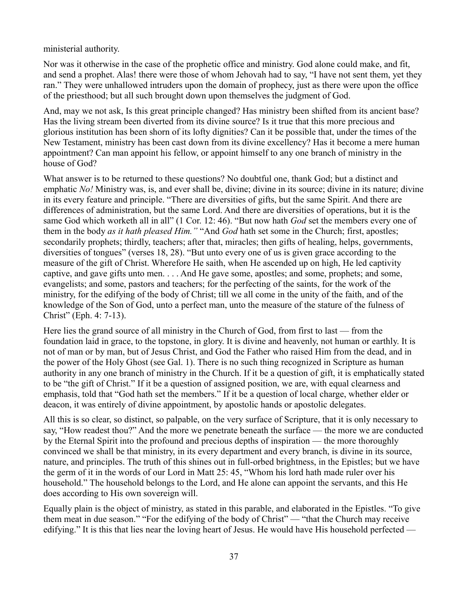ministerial authority.

Nor was it otherwise in the case of the prophetic office and ministry. God alone could make, and fit, and send a prophet. Alas! there were those of whom Jehovah had to say, "I have not sent them, yet they ran." They were unhallowed intruders upon the domain of prophecy, just as there were upon the office of the priesthood; but all such brought down upon themselves the judgment of God.

And, may we not ask, Is this great principle changed? Has ministry been shifted from its ancient base? Has the living stream been diverted from its divine source? Is it true that this more precious and glorious institution has been shorn of its lofty dignities? Can it be possible that, under the times of the New Testament, ministry has been cast down from its divine excellency? Has it become a mere human appointment? Can man appoint his fellow, or appoint himself to any one branch of ministry in the house of God?

What answer is to be returned to these questions? No doubtful one, thank God; but a distinct and emphatic *No!* Ministry was, is, and ever shall be, divine; divine in its source; divine in its nature; divine in its every feature and principle. "There are diversities of gifts, but the same Spirit. And there are differences of administration, but the same Lord. And there are diversities of operations, but it is the same God which worketh all in all" (1 Cor. 12: 46). "But now hath *God* set the members every one of them in the body *as it hath pleased Him."* "And *God* hath set some in the Church; first, apostles; secondarily prophets; thirdly, teachers; after that, miracles; then gifts of healing, helps, governments, diversities of tongues" (verses 18, 28). "But unto every one of us is given grace according to the measure of the gift of Christ. Wherefore He saith, when He ascended up on high, He led captivity captive, and gave gifts unto men. . . . And He gave some, apostles; and some, prophets; and some, evangelists; and some, pastors and teachers; for the perfecting of the saints, for the work of the ministry, for the edifying of the body of Christ; till we all come in the unity of the faith, and of the knowledge of the Son of God, unto a perfect man, unto the measure of the stature of the fulness of Christ" (Eph. 4: 7-13).

Here lies the grand source of all ministry in the Church of God, from first to last — from the foundation laid in grace, to the topstone, in glory. It is divine and heavenly, not human or earthly. It is not of man or by man, but of Jesus Christ, and God the Father who raised Him from the dead, and in the power of the Holy Ghost (see Gal. 1). There is no such thing recognized in Scripture as human authority in any one branch of ministry in the Church. If it be a question of gift, it is emphatically stated to be "the gift of Christ." If it be a question of assigned position, we are, with equal clearness and emphasis, told that "God hath set the members." If it be a question of local charge, whether elder or deacon, it was entirely of divine appointment, by apostolic hands or apostolic delegates.

All this is so clear, so distinct, so palpable, on the very surface of Scripture, that it is only necessary to say, "How readest thou?" And the more we penetrate beneath the surface — the more we are conducted by the Eternal Spirit into the profound and precious depths of inspiration — the more thoroughly convinced we shall be that ministry, in its every department and every branch, is divine in its source, nature, and principles. The truth of this shines out in full-orbed brightness, in the Epistles; but we have the germ of it in the words of our Lord in Matt 25: 45, "Whom his lord hath made ruler over his household." The household belongs to the Lord, and He alone can appoint the servants, and this He does according to His own sovereign will.

Equally plain is the object of ministry, as stated in this parable, and elaborated in the Epistles. "To give them meat in due season." "For the edifying of the body of Christ" — "that the Church may receive edifying." It is this that lies near the loving heart of Jesus. He would have His household perfected —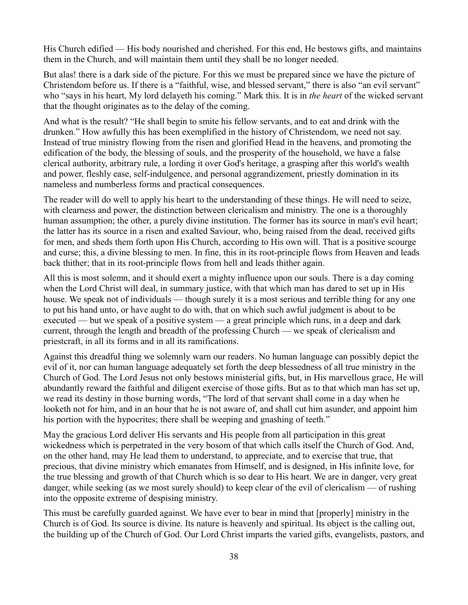His Church edified — His body nourished and cherished. For this end, He bestows gifts, and maintains them in the Church, and will maintain them until they shall be no longer needed.

But alas! there is a dark side of the picture. For this we must be prepared since we have the picture of Christendom before us. If there is a "faithful, wise, and blessed servant," there is also "an evil servant" who "says in his heart, My lord delayeth his coming." Mark this. It is in *the heart* of the wicked servant that the thought originates as to the delay of the coming.

And what is the result? "He shall begin to smite his fellow servants, and to eat and drink with the drunken." How awfully this has been exemplified in the history of Christendom, we need not say. Instead of true ministry flowing from the risen and glorified Head in the heavens, and promoting the edification of the body, the blessing of souls, and the prosperity of the household, we have a false clerical authority, arbitrary rule, a lording it over God's heritage, a grasping after this world's wealth and power, fleshly ease, self-indulgence, and personal aggrandizement, priestly domination in its nameless and numberless forms and practical consequences.

The reader will do well to apply his heart to the understanding of these things. He will need to seize, with clearness and power, the distinction between clericalism and ministry. The one is a thoroughly human assumption; the other, a purely divine institution. The former has its source in man's evil heart; the latter has its source in a risen and exalted Saviour, who, being raised from the dead, received gifts for men, and sheds them forth upon His Church, according to His own will. That is a positive scourge and curse; this, a divine blessing to men. In fine, this in its root-principle flows from Heaven and leads back thither; that in its root-principle flows from hell and leads thither again.

All this is most solemn, and it should exert a mighty influence upon our souls. There is a day coming when the Lord Christ will deal, in summary justice, with that which man has dared to set up in His house. We speak not of individuals — though surely it is a most serious and terrible thing for any one to put his hand unto, or have aught to do with, that on which such awful judgment is about to be executed — but we speak of a positive system — a great principle which runs, in a deep and dark current, through the length and breadth of the professing Church — we speak of clericalism and priestcraft, in all its forms and in all its ramifications.

Against this dreadful thing we solemnly warn our readers. No human language can possibly depict the evil of it, nor can human language adequately set forth the deep blessedness of all true ministry in the Church of God. The Lord Jesus not only bestows ministerial gifts, but, in His marvellous grace, He will abundantly reward the faithful and diligent exercise of those gifts. But as to that which man has set up, we read its destiny in those burning words, "The lord of that servant shall come in a day when he looketh not for him, and in an hour that he is not aware of, and shall cut him asunder, and appoint him his portion with the hypocrites; there shall be weeping and gnashing of teeth."

May the gracious Lord deliver His servants and His people from all participation in this great wickedness which is perpetrated in the very bosom of that which calls itself the Church of God. And, on the other hand, may He lead them to understand, to appreciate, and to exercise that true, that precious, that divine ministry which emanates from Himself, and is designed, in His infinite love, for the true blessing and growth of that Church which is so dear to His heart. We are in danger, very great danger, while seeking (as we most surely should) to keep clear of the evil of clericalism — of rushing into the opposite extreme of despising ministry.

This must be carefully guarded against. We have ever to bear in mind that [properly] ministry in the Church is of God. Its source is divine. Its nature is heavenly and spiritual. Its object is the calling out, the building up of the Church of God. Our Lord Christ imparts the varied gifts, evangelists, pastors, and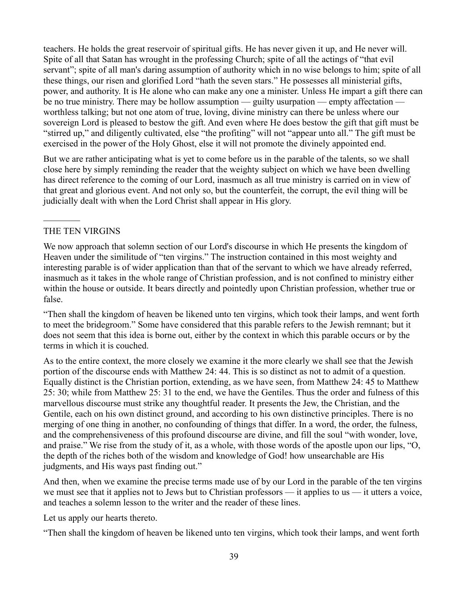teachers. He holds the great reservoir of spiritual gifts. He has never given it up, and He never will. Spite of all that Satan has wrought in the professing Church; spite of all the actings of "that evil servant"; spite of all man's daring assumption of authority which in no wise belongs to him; spite of all these things, our risen and glorified Lord "hath the seven stars." He possesses all ministerial gifts, power, and authority. It is He alone who can make any one a minister. Unless He impart a gift there can be no true ministry. There may be hollow assumption — guilty usurpation — empty affectation worthless talking; but not one atom of true, loving, divine ministry can there be unless where our sovereign Lord is pleased to bestow the gift. And even where He does bestow the gift that gift must be "stirred up," and diligently cultivated, else "the profiting" will not "appear unto all." The gift must be exercised in the power of the Holy Ghost, else it will not promote the divinely appointed end.

But we are rather anticipating what is yet to come before us in the parable of the talents, so we shall close here by simply reminding the reader that the weighty subject on which we have been dwelling has direct reference to the coming of our Lord, inasmuch as all true ministry is carried on in view of that great and glorious event. And not only so, but the counterfeit, the corrupt, the evil thing will be judicially dealt with when the Lord Christ shall appear in His glory.

### THE TEN VIRGINS

 $\frac{1}{2}$ 

We now approach that solemn section of our Lord's discourse in which He presents the kingdom of Heaven under the similitude of "ten virgins." The instruction contained in this most weighty and interesting parable is of wider application than that of the servant to which we have already referred, inasmuch as it takes in the whole range of Christian profession, and is not confined to ministry either within the house or outside. It bears directly and pointedly upon Christian profession, whether true or false.

"Then shall the kingdom of heaven be likened unto ten virgins, which took their lamps, and went forth to meet the bridegroom." Some have considered that this parable refers to the Jewish remnant; but it does not seem that this idea is borne out, either by the context in which this parable occurs or by the terms in which it is couched.

As to the entire context, the more closely we examine it the more clearly we shall see that the Jewish portion of the discourse ends with Matthew 24: 44. This is so distinct as not to admit of a question. Equally distinct is the Christian portion, extending, as we have seen, from Matthew 24: 45 to Matthew 25: 30; while from Matthew 25: 31 to the end, we have the Gentiles. Thus the order and fulness of this marvellous discourse must strike any thoughtful reader. It presents the Jew, the Christian, and the Gentile, each on his own distinct ground, and according to his own distinctive principles. There is no merging of one thing in another, no confounding of things that differ. In a word, the order, the fulness, and the comprehensiveness of this profound discourse are divine, and fill the soul "with wonder, love, and praise." We rise from the study of it, as a whole, with those words of the apostle upon our lips, "O, the depth of the riches both of the wisdom and knowledge of God! how unsearchable are His judgments, and His ways past finding out."

And then, when we examine the precise terms made use of by our Lord in the parable of the ten virgins we must see that it applies not to Jews but to Christian professors — it applies to us — it utters a voice, and teaches a solemn lesson to the writer and the reader of these lines.

Let us apply our hearts thereto.

"Then shall the kingdom of heaven be likened unto ten virgins, which took their lamps, and went forth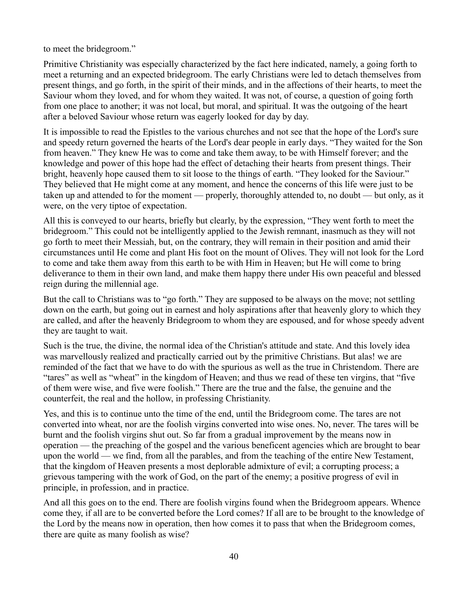to meet the bridegroom."

Primitive Christianity was especially characterized by the fact here indicated, namely, a going forth to meet a returning and an expected bridegroom. The early Christians were led to detach themselves from present things, and go forth, in the spirit of their minds, and in the affections of their hearts, to meet the Saviour whom they loved, and for whom they waited. It was not, of course, a question of going forth from one place to another; it was not local, but moral, and spiritual. It was the outgoing of the heart after a beloved Saviour whose return was eagerly looked for day by day.

It is impossible to read the Epistles to the various churches and not see that the hope of the Lord's sure and speedy return governed the hearts of the Lord's dear people in early days. "They waited for the Son from heaven." They knew He was to come and take them away, to be with Himself forever; and the knowledge and power of this hope had the effect of detaching their hearts from present things. Their bright, heavenly hope caused them to sit loose to the things of earth. "They looked for the Saviour." They believed that He might come at any moment, and hence the concerns of this life were just to be taken up and attended to for the moment — properly, thoroughly attended to, no doubt — but only, as it were, on the very tiptoe of expectation.

All this is conveyed to our hearts, briefly but clearly, by the expression, "They went forth to meet the bridegroom." This could not be intelligently applied to the Jewish remnant, inasmuch as they will not go forth to meet their Messiah, but, on the contrary, they will remain in their position and amid their circumstances until He come and plant His foot on the mount of Olives. They will not look for the Lord to come and take them away from this earth to be with Him in Heaven; but He will come to bring deliverance to them in their own land, and make them happy there under His own peaceful and blessed reign during the millennial age.

But the call to Christians was to "go forth." They are supposed to be always on the move; not settling down on the earth, but going out in earnest and holy aspirations after that heavenly glory to which they are called, and after the heavenly Bridegroom to whom they are espoused, and for whose speedy advent they are taught to wait.

Such is the true, the divine, the normal idea of the Christian's attitude and state. And this lovely idea was marvellously realized and practically carried out by the primitive Christians. But alas! we are reminded of the fact that we have to do with the spurious as well as the true in Christendom. There are "tares" as well as "wheat" in the kingdom of Heaven; and thus we read of these ten virgins, that "five of them were wise, and five were foolish." There are the true and the false, the genuine and the counterfeit, the real and the hollow, in professing Christianity.

Yes, and this is to continue unto the time of the end, until the Bridegroom come. The tares are not converted into wheat, nor are the foolish virgins converted into wise ones. No, never. The tares will be burnt and the foolish virgins shut out. So far from a gradual improvement by the means now in operation — the preaching of the gospel and the various beneficent agencies which are brought to bear upon the world — we find, from all the parables, and from the teaching of the entire New Testament, that the kingdom of Heaven presents a most deplorable admixture of evil; a corrupting process; a grievous tampering with the work of God, on the part of the enemy; a positive progress of evil in principle, in profession, and in practice.

And all this goes on to the end. There are foolish virgins found when the Bridegroom appears. Whence come they, if all are to be converted before the Lord comes? If all are to be brought to the knowledge of the Lord by the means now in operation, then how comes it to pass that when the Bridegroom comes, there are quite as many foolish as wise?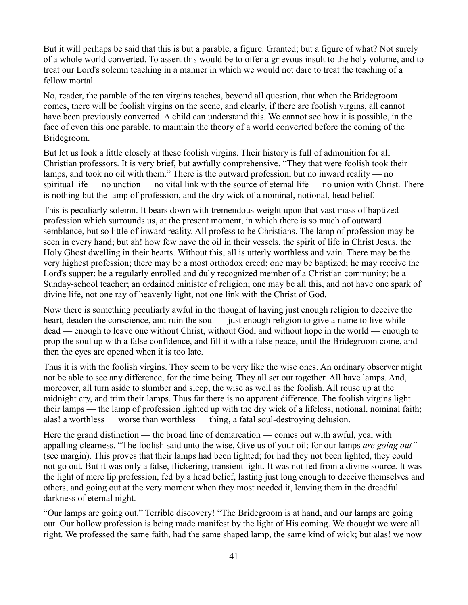But it will perhaps be said that this is but a parable, a figure. Granted; but a figure of what? Not surely of a whole world converted. To assert this would be to offer a grievous insult to the holy volume, and to treat our Lord's solemn teaching in a manner in which we would not dare to treat the teaching of a fellow mortal.

No, reader, the parable of the ten virgins teaches, beyond all question, that when the Bridegroom comes, there will be foolish virgins on the scene, and clearly, if there are foolish virgins, all cannot have been previously converted. A child can understand this. We cannot see how it is possible, in the face of even this one parable, to maintain the theory of a world converted before the coming of the Bridegroom.

But let us look a little closely at these foolish virgins. Their history is full of admonition for all Christian professors. It is very brief, but awfully comprehensive. "They that were foolish took their lamps, and took no oil with them." There is the outward profession, but no inward reality — no spiritual life — no unction — no vital link with the source of eternal life — no union with Christ. There is nothing but the lamp of profession, and the dry wick of a nominal, notional, head belief.

This is peculiarly solemn. It bears down with tremendous weight upon that vast mass of baptized profession which surrounds us, at the present moment, in which there is so much of outward semblance, but so little of inward reality. All profess to be Christians. The lamp of profession may be seen in every hand; but ah! how few have the oil in their vessels, the spirit of life in Christ Jesus, the Holy Ghost dwelling in their hearts. Without this, all is utterly worthless and vain. There may be the very highest profession; there may be a most orthodox creed; one may be baptized; he may receive the Lord's supper; be a regularly enrolled and duly recognized member of a Christian community; be a Sunday-school teacher; an ordained minister of religion; one may be all this, and not have one spark of divine life, not one ray of heavenly light, not one link with the Christ of God.

Now there is something peculiarly awful in the thought of having just enough religion to deceive the heart, deaden the conscience, and ruin the soul — just enough religion to give a name to live while dead — enough to leave one without Christ, without God, and without hope in the world — enough to prop the soul up with a false confidence, and fill it with a false peace, until the Bridegroom come, and then the eyes are opened when it is too late.

Thus it is with the foolish virgins. They seem to be very like the wise ones. An ordinary observer might not be able to see any difference, for the time being. They all set out together. All have lamps. And, moreover, all turn aside to slumber and sleep, the wise as well as the foolish. All rouse up at the midnight cry, and trim their lamps. Thus far there is no apparent difference. The foolish virgins light their lamps — the lamp of profession lighted up with the dry wick of a lifeless, notional, nominal faith; alas! a worthless — worse than worthless — thing, a fatal soul-destroying delusion.

Here the grand distinction — the broad line of demarcation — comes out with awful, yea, with appalling clearness. "The foolish said unto the wise, Give us of your oil; for our lamps *are going out"* (see margin). This proves that their lamps had been lighted; for had they not been lighted, they could not go out. But it was only a false, flickering, transient light. It was not fed from a divine source. It was the light of mere lip profession, fed by a head belief, lasting just long enough to deceive themselves and others, and going out at the very moment when they most needed it, leaving them in the dreadful darkness of eternal night.

"Our lamps are going out." Terrible discovery! "The Bridegroom is at hand, and our lamps are going out. Our hollow profession is being made manifest by the light of His coming. We thought we were all right. We professed the same faith, had the same shaped lamp, the same kind of wick; but alas! we now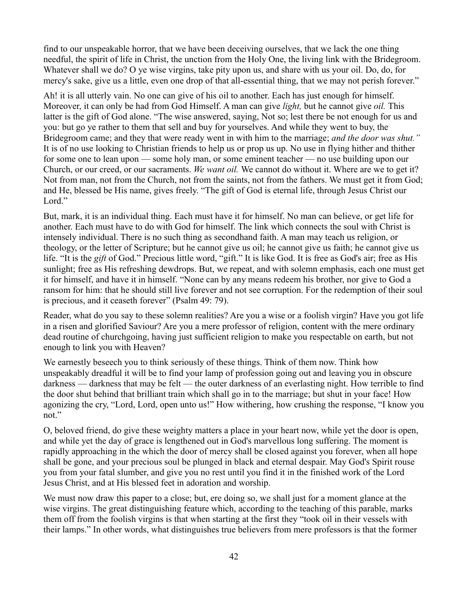find to our unspeakable horror, that we have been deceiving ourselves, that we lack the one thing needful, the spirit of life in Christ, the unction from the Holy One, the living link with the Bridegroom. Whatever shall we do? O ye wise virgins, take pity upon us, and share with us your oil. Do, do, for mercy's sake, give us a little, even one drop of that all-essential thing, that we may not perish forever."

Ah! it is all utterly vain. No one can give of his oil to another. Each has just enough for himself. Moreover, it can only be had from God Himself. A man can give *light,* but he cannot give *oil.* This latter is the gift of God alone. "The wise answered, saying, Not so; lest there be not enough for us and you: but go ye rather to them that sell and buy for yourselves. And while they went to buy, the Bridegroom came; and they that were ready went in with him to the marriage; *and the door was shut."* It is of no use looking to Christian friends to help us or prop us up. No use in flying hither and thither for some one to lean upon — some holy man, or some eminent teacher — no use building upon our Church, or our creed, or our sacraments. *We want oil.* We cannot do without it. Where are we to get it? Not from man, not from the Church, not from the saints, not from the fathers. We must get it from God; and He, blessed be His name, gives freely. "The gift of God is eternal life, through Jesus Christ our Lord."

But, mark, it is an individual thing. Each must have it for himself. No man can believe, or get life for another. Each must have to do with God for himself. The link which connects the soul with Christ is intensely individual. There is no such thing as secondhand faith. A man may teach us religion, or theology, or the letter of Scripture; but he cannot give us oil; he cannot give us faith; he cannot give us life. "It is the *gift* of God." Precious little word, "gift." It is like God. It is free as God's air; free as His sunlight; free as His refreshing dewdrops. But, we repeat, and with solemn emphasis, each one must get it for himself, and have it in himself. "None can by any means redeem his brother, nor give to God a ransom for him: that he should still live forever and not see corruption. For the redemption of their soul is precious, and it ceaseth forever" (Psalm 49: 79).

Reader, what do you say to these solemn realities? Are you a wise or a foolish virgin? Have you got life in a risen and glorified Saviour? Are you a mere professor of religion, content with the mere ordinary dead routine of churchgoing, having just sufficient religion to make you respectable on earth, but not enough to link you with Heaven?

We earnestly beseech you to think seriously of these things. Think of them now. Think how unspeakably dreadful it will be to find your lamp of profession going out and leaving you in obscure darkness — darkness that may be felt — the outer darkness of an everlasting night. How terrible to find the door shut behind that brilliant train which shall go in to the marriage; but shut in your face! How agonizing the cry, "Lord, Lord, open unto us!" How withering, how crushing the response, "I know you not."

O, beloved friend, do give these weighty matters a place in your heart now, while yet the door is open, and while yet the day of grace is lengthened out in God's marvellous long suffering. The moment is rapidly approaching in the which the door of mercy shall be closed against you forever, when all hope shall be gone, and your precious soul be plunged in black and eternal despair. May God's Spirit rouse you from your fatal slumber, and give you no rest until you find it in the finished work of the Lord Jesus Christ, and at His blessed feet in adoration and worship.

We must now draw this paper to a close; but, ere doing so, we shall just for a moment glance at the wise virgins. The great distinguishing feature which, according to the teaching of this parable, marks them off from the foolish virgins is that when starting at the first they "took oil in their vessels with their lamps." In other words, what distinguishes true believers from mere professors is that the former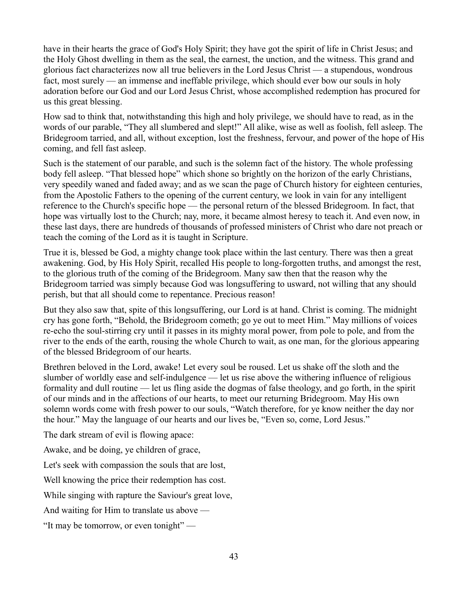have in their hearts the grace of God's Holy Spirit; they have got the spirit of life in Christ Jesus; and the Holy Ghost dwelling in them as the seal, the earnest, the unction, and the witness. This grand and glorious fact characterizes now all true believers in the Lord Jesus Christ — a stupendous, wondrous fact, most surely — an immense and ineffable privilege, which should ever bow our souls in holy adoration before our God and our Lord Jesus Christ, whose accomplished redemption has procured for us this great blessing.

How sad to think that, notwithstanding this high and holy privilege, we should have to read, as in the words of our parable, "They all slumbered and slept!" All alike, wise as well as foolish, fell asleep. The Bridegroom tarried, and all, without exception, lost the freshness, fervour, and power of the hope of His coming, and fell fast asleep.

Such is the statement of our parable, and such is the solemn fact of the history. The whole professing body fell asleep. "That blessed hope" which shone so brightly on the horizon of the early Christians, very speedily waned and faded away; and as we scan the page of Church history for eighteen centuries, from the Apostolic Fathers to the opening of the current century, we look in vain for any intelligent reference to the Church's specific hope — the personal return of the blessed Bridegroom. In fact, that hope was virtually lost to the Church; nay, more, it became almost heresy to teach it. And even now, in these last days, there are hundreds of thousands of professed ministers of Christ who dare not preach or teach the coming of the Lord as it is taught in Scripture.

True it is, blessed be God, a mighty change took place within the last century. There was then a great awakening. God, by His Holy Spirit, recalled His people to long-forgotten truths, and amongst the rest, to the glorious truth of the coming of the Bridegroom. Many saw then that the reason why the Bridegroom tarried was simply because God was longsuffering to usward, not willing that any should perish, but that all should come to repentance. Precious reason!

But they also saw that, spite of this longsuffering, our Lord is at hand. Christ is coming. The midnight cry has gone forth, "Behold, the Bridegroom cometh; go ye out to meet Him." May millions of voices re-echo the soul-stirring cry until it passes in its mighty moral power, from pole to pole, and from the river to the ends of the earth, rousing the whole Church to wait, as one man, for the glorious appearing of the blessed Bridegroom of our hearts.

Brethren beloved in the Lord, awake! Let every soul be roused. Let us shake off the sloth and the slumber of worldly ease and self-indulgence — let us rise above the withering influence of religious formality and dull routine — let us fling aside the dogmas of false theology, and go forth, in the spirit of our minds and in the affections of our hearts, to meet our returning Bridegroom. May His own solemn words come with fresh power to our souls, "Watch therefore, for ye know neither the day nor the hour." May the language of our hearts and our lives be, "Even so, come, Lord Jesus."

The dark stream of evil is flowing apace:

Awake, and be doing, ye children of grace,

Let's seek with compassion the souls that are lost,

Well knowing the price their redemption has cost.

While singing with rapture the Saviour's great love,

And waiting for Him to translate us above —

"It may be tomorrow, or even tonight" —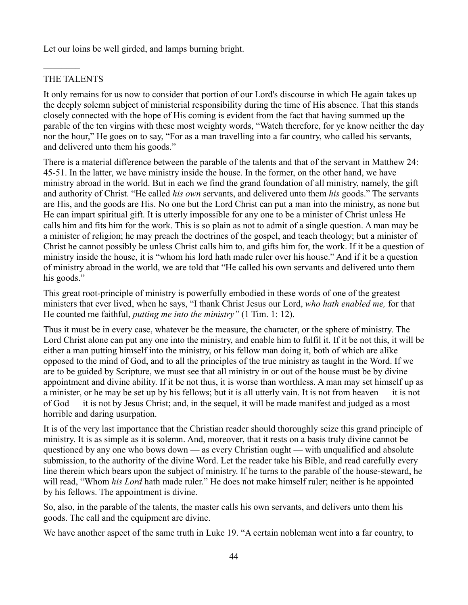Let our loins be well girded, and lamps burning bright.

## THE TALENTS

 $\frac{1}{2}$ 

It only remains for us now to consider that portion of our Lord's discourse in which He again takes up the deeply solemn subject of ministerial responsibility during the time of His absence. That this stands closely connected with the hope of His coming is evident from the fact that having summed up the parable of the ten virgins with these most weighty words, "Watch therefore, for ye know neither the day nor the hour," He goes on to say, "For as a man travelling into a far country, who called his servants, and delivered unto them his goods."

There is a material difference between the parable of the talents and that of the servant in Matthew 24: 45-51. In the latter, we have ministry inside the house. In the former, on the other hand, we have ministry abroad in the world. But in each we find the grand foundation of all ministry, namely, the gift and authority of Christ. "He called *his own* servants, and delivered unto them *his* goods." The servants are His, and the goods are His. No one but the Lord Christ can put a man into the ministry, as none but He can impart spiritual gift. It is utterly impossible for any one to be a minister of Christ unless He calls him and fits him for the work. This is so plain as not to admit of a single question. A man may be a minister of religion; he may preach the doctrines of the gospel, and teach theology; but a minister of Christ he cannot possibly be unless Christ calls him to, and gifts him for, the work. If it be a question of ministry inside the house, it is "whom his lord hath made ruler over his house." And if it be a question of ministry abroad in the world, we are told that "He called his own servants and delivered unto them his goods."

This great root-principle of ministry is powerfully embodied in these words of one of the greatest ministers that ever lived, when he says, "I thank Christ Jesus our Lord, *who hath enabled me,* for that He counted me faithful, *putting me into the ministry"* (1 Tim. 1: 12).

Thus it must be in every case, whatever be the measure, the character, or the sphere of ministry. The Lord Christ alone can put any one into the ministry, and enable him to fulfil it. If it be not this, it will be either a man putting himself into the ministry, or his fellow man doing it, both of which are alike opposed to the mind of God, and to all the principles of the true ministry as taught in the Word. If we are to be guided by Scripture, we must see that all ministry in or out of the house must be by divine appointment and divine ability. If it be not thus, it is worse than worthless. A man may set himself up as a minister, or he may be set up by his fellows; but it is all utterly vain. It is not from heaven — it is not of God — it is not by Jesus Christ; and, in the sequel, it will be made manifest and judged as a most horrible and daring usurpation.

It is of the very last importance that the Christian reader should thoroughly seize this grand principle of ministry. It is as simple as it is solemn. And, moreover, that it rests on a basis truly divine cannot be questioned by any one who bows down — as every Christian ought — with unqualified and absolute submission, to the authority of the divine Word. Let the reader take his Bible, and read carefully every line therein which bears upon the subject of ministry. If he turns to the parable of the house-steward, he will read, "Whom *his Lord* hath made ruler." He does not make himself ruler; neither is he appointed by his fellows. The appointment is divine.

So, also, in the parable of the talents, the master calls his own servants, and delivers unto them his goods. The call and the equipment are divine.

We have another aspect of the same truth in Luke 19. "A certain nobleman went into a far country, to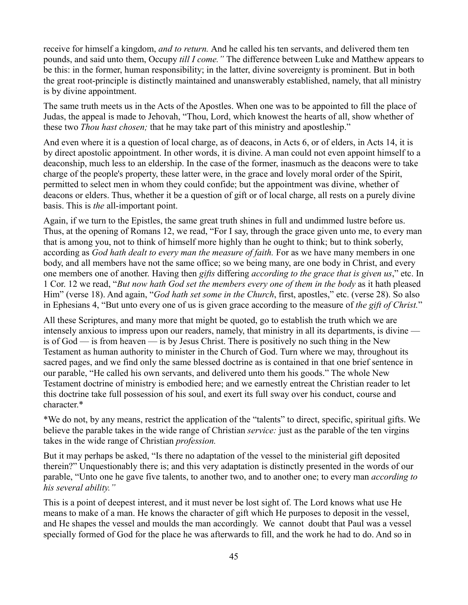receive for himself a kingdom, *and to return.* And he called his ten servants, and delivered them ten pounds, and said unto them, Occupy *till I come."* The difference between Luke and Matthew appears to be this: in the former, human responsibility; in the latter, divine sovereignty is prominent. But in both the great root-principle is distinctly maintained and unanswerably established, namely, that all ministry is by divine appointment.

The same truth meets us in the Acts of the Apostles. When one was to be appointed to fill the place of Judas, the appeal is made to Jehovah, "Thou, Lord, which knowest the hearts of all, show whether of these two *Thou hast chosen;* that he may take part of this ministry and apostleship."

And even where it is a question of local charge, as of deacons, in Acts 6, or of elders, in Acts 14, it is by direct apostolic appointment. In other words, it is divine. A man could not even appoint himself to a deaconship, much less to an eldership. In the case of the former, inasmuch as the deacons were to take charge of the people's property, these latter were, in the grace and lovely moral order of the Spirit, permitted to select men in whom they could confide; but the appointment was divine, whether of deacons or elders. Thus, whether it be a question of gift or of local charge, all rests on a purely divine basis. This is *the* all-important point.

Again, if we turn to the Epistles, the same great truth shines in full and undimmed lustre before us. Thus, at the opening of Romans 12, we read, "For I say, through the grace given unto me, to every man that is among you, not to think of himself more highly than he ought to think; but to think soberly, according as *God hath dealt to every man the measure of faith.* For as we have many members in one body, and all members have not the same office; so we being many, are one body in Christ, and every one members one of another. Having then *gifts* differing *according to the grace that is given us*," etc. In 1 Cor. 12 we read, "*But now hath God set the members every one of them in the body* as it hath pleased Him" (verse 18). And again, "*God hath set some in the Church*, first, apostles," etc. (verse 28). So also in Ephesians 4, "But unto every one of us is given grace according to the measure of *the gift of Christ.*"

All these Scriptures, and many more that might be quoted, go to establish the truth which we are intensely anxious to impress upon our readers, namely, that ministry in all its departments, is divine is of God — is from heaven — is by Jesus Christ. There is positively no such thing in the New Testament as human authority to minister in the Church of God. Turn where we may, throughout its sacred pages, and we find only the same blessed doctrine as is contained in that one brief sentence in our parable, "He called his own servants, and delivered unto them his goods." The whole New Testament doctrine of ministry is embodied here; and we earnestly entreat the Christian reader to let this doctrine take full possession of his soul, and exert its full sway over his conduct, course and character.\*

\*We do not, by any means, restrict the application of the "talents" to direct, specific, spiritual gifts. We believe the parable takes in the wide range of Christian *service:* just as the parable of the ten virgins takes in the wide range of Christian *profession.* 

But it may perhaps be asked, "Is there no adaptation of the vessel to the ministerial gift deposited therein?" Unquestionably there is; and this very adaptation is distinctly presented in the words of our parable, "Unto one he gave five talents, to another two, and to another one; to every man *according to his several ability."*

This is a point of deepest interest, and it must never be lost sight of. The Lord knows what use He means to make of a man. He knows the character of gift which He purposes to deposit in the vessel, and He shapes the vessel and moulds the man accordingly. We cannot doubt that Paul was a vessel specially formed of God for the place he was afterwards to fill, and the work he had to do. And so in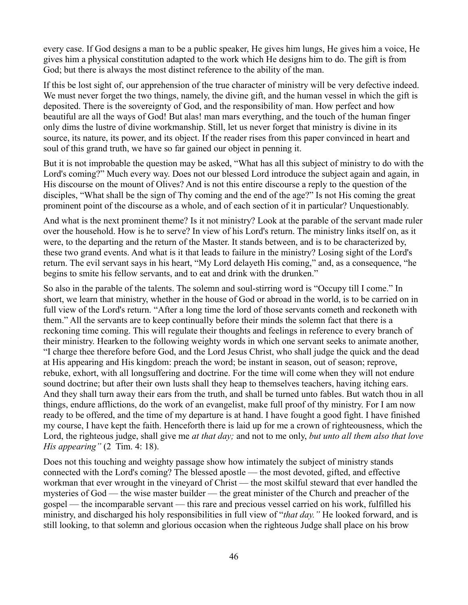every case. If God designs a man to be a public speaker, He gives him lungs, He gives him a voice, He gives him a physical constitution adapted to the work which He designs him to do. The gift is from God; but there is always the most distinct reference to the ability of the man.

If this be lost sight of, our apprehension of the true character of ministry will be very defective indeed. We must never forget the two things, namely, the divine gift, and the human vessel in which the gift is deposited. There is the sovereignty of God, and the responsibility of man. How perfect and how beautiful are all the ways of God! But alas! man mars everything, and the touch of the human finger only dims the lustre of divine workmanship. Still, let us never forget that ministry is divine in its source, its nature, its power, and its object. If the reader rises from this paper convinced in heart and soul of this grand truth, we have so far gained our object in penning it.

But it is not improbable the question may be asked, "What has all this subject of ministry to do with the Lord's coming?" Much every way. Does not our blessed Lord introduce the subject again and again, in His discourse on the mount of Olives? And is not this entire discourse a reply to the question of the disciples, "What shall be the sign of Thy coming and the end of the age?" Is not His coming the great prominent point of the discourse as a whole, and of each section of it in particular? Unquestionably.

And what is the next prominent theme? Is it not ministry? Look at the parable of the servant made ruler over the household. How is he to serve? In view of his Lord's return. The ministry links itself on, as it were, to the departing and the return of the Master. It stands between, and is to be characterized by, these two grand events. And what is it that leads to failure in the ministry? Losing sight of the Lord's return. The evil servant says in his heart, "My Lord delayeth His coming," and, as a consequence, "he begins to smite his fellow servants, and to eat and drink with the drunken."

So also in the parable of the talents. The solemn and soul-stirring word is "Occupy till I come." In short, we learn that ministry, whether in the house of God or abroad in the world, is to be carried on in full view of the Lord's return. "After a long time the lord of those servants cometh and reckoneth with them." All the servants are to keep continually before their minds the solemn fact that there is a reckoning time coming. This will regulate their thoughts and feelings in reference to every branch of their ministry. Hearken to the following weighty words in which one servant seeks to animate another, "I charge thee therefore before God, and the Lord Jesus Christ, who shall judge the quick and the dead at His appearing and His kingdom: preach the word; be instant in season, out of season; reprove, rebuke, exhort, with all longsuffering and doctrine. For the time will come when they will not endure sound doctrine; but after their own lusts shall they heap to themselves teachers, having itching ears. And they shall turn away their ears from the truth, and shall be turned unto fables. But watch thou in all things, endure afflictions, do the work of an evangelist, make full proof of thy ministry. For I am now ready to be offered, and the time of my departure is at hand. I have fought a good fight. I have finished my course, I have kept the faith. Henceforth there is laid up for me a crown of righteousness, which the Lord, the righteous judge, shall give me *at that day;* and not to me only, *but unto all them also that love His appearing"* (2 Tim. 4: 18).

Does not this touching and weighty passage show how intimately the subject of ministry stands connected with the Lord's coming? The blessed apostle — the most devoted, gifted, and effective workman that ever wrought in the vineyard of Christ — the most skilful steward that ever handled the mysteries of God — the wise master builder — the great minister of the Church and preacher of the gospel — the incomparable servant — this rare and precious vessel carried on his work, fulfilled his ministry, and discharged his holy responsibilities in full view of "*that day."* He looked forward, and is still looking, to that solemn and glorious occasion when the righteous Judge shall place on his brow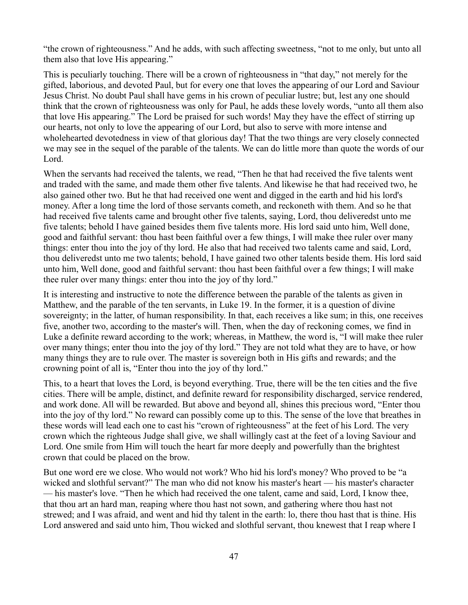"the crown of righteousness." And he adds, with such affecting sweetness, "not to me only, but unto all them also that love His appearing."

This is peculiarly touching. There will be a crown of righteousness in "that day," not merely for the gifted, laborious, and devoted Paul, but for every one that loves the appearing of our Lord and Saviour Jesus Christ. No doubt Paul shall have gems in his crown of peculiar lustre; but, lest any one should think that the crown of righteousness was only for Paul, he adds these lovely words, "unto all them also that love His appearing." The Lord be praised for such words! May they have the effect of stirring up our hearts, not only to love the appearing of our Lord, but also to serve with more intense and wholehearted devotedness in view of that glorious day! That the two things are very closely connected we may see in the sequel of the parable of the talents. We can do little more than quote the words of our Lord.

When the servants had received the talents, we read, "Then he that had received the five talents went and traded with the same, and made them other five talents. And likewise he that had received two, he also gained other two. But he that had received one went and digged in the earth and hid his lord's money. After a long time the lord of those servants cometh, and reckoneth with them. And so he that had received five talents came and brought other five talents, saying, Lord, thou deliveredst unto me five talents; behold I have gained besides them five talents more. His lord said unto him, Well done, good and faithful servant: thou hast been faithful over a few things, I will make thee ruler over many things: enter thou into the joy of thy lord. He also that had received two talents came and said, Lord, thou deliveredst unto me two talents; behold, I have gained two other talents beside them. His lord said unto him, Well done, good and faithful servant: thou hast been faithful over a few things; I will make thee ruler over many things: enter thou into the joy of thy lord."

It is interesting and instructive to note the difference between the parable of the talents as given in Matthew, and the parable of the ten servants, in Luke 19. In the former, it is a question of divine sovereignty; in the latter, of human responsibility. In that, each receives a like sum; in this, one receives five, another two, according to the master's will. Then, when the day of reckoning comes, we find in Luke a definite reward according to the work; whereas, in Matthew, the word is, "I will make thee ruler over many things; enter thou into the joy of thy lord." They are not told what they are to have, or how many things they are to rule over. The master is sovereign both in His gifts and rewards; and the crowning point of all is, "Enter thou into the joy of thy lord."

This, to a heart that loves the Lord, is beyond everything. True, there will be the ten cities and the five cities. There will be ample, distinct, and definite reward for responsibility discharged, service rendered, and work done. All will be rewarded. But above and beyond all, shines this precious word, "Enter thou into the joy of thy lord." No reward can possibly come up to this. The sense of the love that breathes in these words will lead each one to cast his "crown of righteousness" at the feet of his Lord. The very crown which the righteous Judge shall give, we shall willingly cast at the feet of a loving Saviour and Lord. One smile from Him will touch the heart far more deeply and powerfully than the brightest crown that could be placed on the brow.

But one word ere we close. Who would not work? Who hid his lord's money? Who proved to be "a wicked and slothful servant?" The man who did not know his master's heart — his master's character — his master's love. "Then he which had received the one talent, came and said, Lord, I know thee, that thou art an hard man, reaping where thou hast not sown, and gathering where thou hast not strewed; and I was afraid, and went and hid thy talent in the earth: lo, there thou hast that is thine. His Lord answered and said unto him, Thou wicked and slothful servant, thou knewest that I reap where I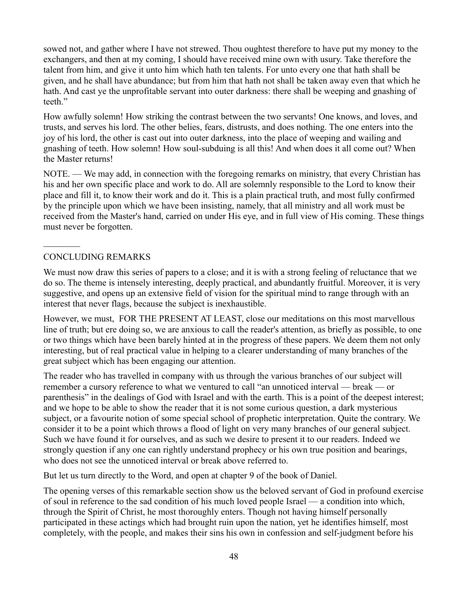sowed not, and gather where I have not strewed. Thou oughtest therefore to have put my money to the exchangers, and then at my coming, I should have received mine own with usury. Take therefore the talent from him, and give it unto him which hath ten talents. For unto every one that hath shall be given, and he shall have abundance; but from him that hath not shall be taken away even that which he hath. And cast ye the unprofitable servant into outer darkness: there shall be weeping and gnashing of teeth."

How awfully solemn! How striking the contrast between the two servants! One knows, and loves, and trusts, and serves his lord. The other belies, fears, distrusts, and does nothing. The one enters into the joy of his lord, the other is cast out into outer darkness, into the place of weeping and wailing and gnashing of teeth. How solemn! How soul-subduing is all this! And when does it all come out? When the Master returns!

NOTE. — We may add, in connection with the foregoing remarks on ministry, that every Christian has his and her own specific place and work to do. All are solemnly responsible to the Lord to know their place and fill it, to know their work and do it. This is a plain practical truth, and most fully confirmed by the principle upon which we have been insisting, namely, that all ministry and all work must be received from the Master's hand, carried on under His eye, and in full view of His coming. These things must never be forgotten.

## CONCLUDING REMARKS

 $\mathcal{L}_\text{max}$ 

We must now draw this series of papers to a close; and it is with a strong feeling of reluctance that we do so. The theme is intensely interesting, deeply practical, and abundantly fruitful. Moreover, it is very suggestive, and opens up an extensive field of vision for the spiritual mind to range through with an interest that never flags, because the subject is inexhaustible.

However, we must, FOR THE PRESENT AT LEAST, close our meditations on this most marvellous line of truth; but ere doing so, we are anxious to call the reader's attention, as briefly as possible, to one or two things which have been barely hinted at in the progress of these papers. We deem them not only interesting, but of real practical value in helping to a clearer understanding of many branches of the great subject which has been engaging our attention.

The reader who has travelled in company with us through the various branches of our subject will remember a cursory reference to what we ventured to call "an unnoticed interval — break — or parenthesis" in the dealings of God with Israel and with the earth. This is a point of the deepest interest; and we hope to be able to show the reader that it is not some curious question, a dark mysterious subject, or a favourite notion of some special school of prophetic interpretation. Quite the contrary. We consider it to be a point which throws a flood of light on very many branches of our general subject. Such we have found it for ourselves, and as such we desire to present it to our readers. Indeed we strongly question if any one can rightly understand prophecy or his own true position and bearings, who does not see the unnoticed interval or break above referred to.

But let us turn directly to the Word, and open at chapter 9 of the book of Daniel.

The opening verses of this remarkable section show us the beloved servant of God in profound exercise of soul in reference to the sad condition of his much loved people Israel — a condition into which, through the Spirit of Christ, he most thoroughly enters. Though not having himself personally participated in these actings which had brought ruin upon the nation, yet he identifies himself, most completely, with the people, and makes their sins his own in confession and self-judgment before his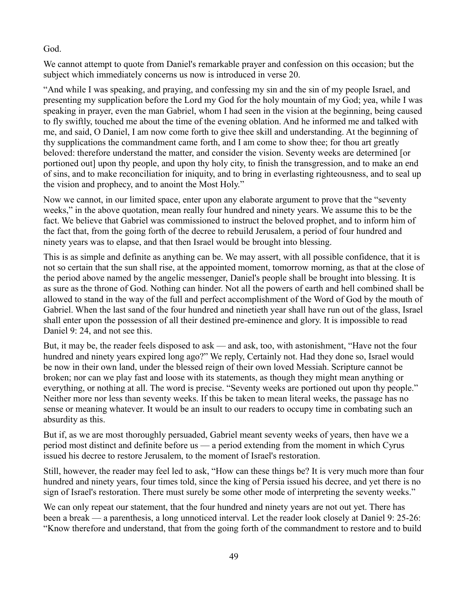## God.

We cannot attempt to quote from Daniel's remarkable prayer and confession on this occasion; but the subject which immediately concerns us now is introduced in verse 20.

"And while I was speaking, and praying, and confessing my sin and the sin of my people Israel, and presenting my supplication before the Lord my God for the holy mountain of my God; yea, while I was speaking in prayer, even the man Gabriel, whom I had seen in the vision at the beginning, being caused to fly swiftly, touched me about the time of the evening oblation. And he informed me and talked with me, and said, O Daniel, I am now come forth to give thee skill and understanding. At the beginning of thy supplications the commandment came forth, and I am come to show thee; for thou art greatly beloved: therefore understand the matter, and consider the vision. Seventy weeks are determined [or portioned out] upon thy people, and upon thy holy city, to finish the transgression, and to make an end of sins, and to make reconciliation for iniquity, and to bring in everlasting righteousness, and to seal up the vision and prophecy, and to anoint the Most Holy."

Now we cannot, in our limited space, enter upon any elaborate argument to prove that the "seventy weeks," in the above quotation, mean really four hundred and ninety years. We assume this to be the fact. We believe that Gabriel was commissioned to instruct the beloved prophet, and to inform him of the fact that, from the going forth of the decree to rebuild Jerusalem, a period of four hundred and ninety years was to elapse, and that then Israel would be brought into blessing.

This is as simple and definite as anything can be. We may assert, with all possible confidence, that it is not so certain that the sun shall rise, at the appointed moment, tomorrow morning, as that at the close of the period above named by the angelic messenger, Daniel's people shall be brought into blessing. It is as sure as the throne of God. Nothing can hinder. Not all the powers of earth and hell combined shall be allowed to stand in the way of the full and perfect accomplishment of the Word of God by the mouth of Gabriel. When the last sand of the four hundred and ninetieth year shall have run out of the glass, Israel shall enter upon the possession of all their destined pre-eminence and glory. It is impossible to read Daniel 9: 24, and not see this.

But, it may be, the reader feels disposed to ask — and ask, too, with astonishment, "Have not the four hundred and ninety years expired long ago?" We reply, Certainly not. Had they done so, Israel would be now in their own land, under the blessed reign of their own loved Messiah. Scripture cannot be broken; nor can we play fast and loose with its statements, as though they might mean anything or everything, or nothing at all. The word is precise. "Seventy weeks are portioned out upon thy people." Neither more nor less than seventy weeks. If this be taken to mean literal weeks, the passage has no sense or meaning whatever. It would be an insult to our readers to occupy time in combating such an absurdity as this.

But if, as we are most thoroughly persuaded, Gabriel meant seventy weeks of years, then have we a period most distinct and definite before us — a period extending from the moment in which Cyrus issued his decree to restore Jerusalem, to the moment of Israel's restoration.

Still, however, the reader may feel led to ask, "How can these things be? It is very much more than four hundred and ninety years, four times told, since the king of Persia issued his decree, and yet there is no sign of Israel's restoration. There must surely be some other mode of interpreting the seventy weeks."

We can only repeat our statement, that the four hundred and ninety years are not out yet. There has been a break — a parenthesis, a long unnoticed interval. Let the reader look closely at Daniel 9: 25-26: "Know therefore and understand, that from the going forth of the commandment to restore and to build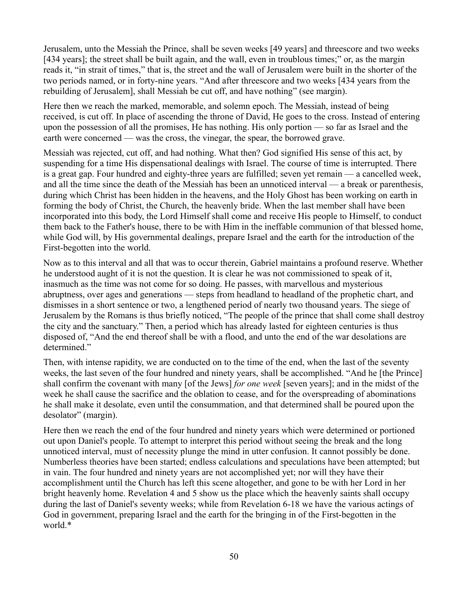Jerusalem, unto the Messiah the Prince, shall be seven weeks [49 years] and threescore and two weeks [434 years]; the street shall be built again, and the wall, even in troublous times;" or, as the margin reads it, "in strait of times," that is, the street and the wall of Jerusalem were built in the shorter of the two periods named, or in forty-nine years. "And after threescore and two weeks [434 years from the rebuilding of Jerusalem], shall Messiah be cut off, and have nothing" (see margin).

Here then we reach the marked, memorable, and solemn epoch. The Messiah, instead of being received, is cut off. In place of ascending the throne of David, He goes to the cross. Instead of entering upon the possession of all the promises, He has nothing. His only portion — so far as Israel and the earth were concerned — was the cross, the vinegar, the spear, the borrowed grave.

Messiah was rejected, cut off, and had nothing. What then? God signified His sense of this act, by suspending for a time His dispensational dealings with Israel. The course of time is interrupted. There is a great gap. Four hundred and eighty-three years are fulfilled; seven yet remain — a cancelled week, and all the time since the death of the Messiah has been an unnoticed interval — a break or parenthesis, during which Christ has been hidden in the heavens, and the Holy Ghost has been working on earth in forming the body of Christ, the Church, the heavenly bride. When the last member shall have been incorporated into this body, the Lord Himself shall come and receive His people to Himself, to conduct them back to the Father's house, there to be with Him in the ineffable communion of that blessed home, while God will, by His governmental dealings, prepare Israel and the earth for the introduction of the First-begotten into the world.

Now as to this interval and all that was to occur therein, Gabriel maintains a profound reserve. Whether he understood aught of it is not the question. It is clear he was not commissioned to speak of it, inasmuch as the time was not come for so doing. He passes, with marvellous and mysterious abruptness, over ages and generations — steps from headland to headland of the prophetic chart, and dismisses in a short sentence or two, a lengthened period of nearly two thousand years. The siege of Jerusalem by the Romans is thus briefly noticed, "The people of the prince that shall come shall destroy the city and the sanctuary." Then, a period which has already lasted for eighteen centuries is thus disposed of, "And the end thereof shall be with a flood, and unto the end of the war desolations are determined."

Then, with intense rapidity, we are conducted on to the time of the end, when the last of the seventy weeks, the last seven of the four hundred and ninety years, shall be accomplished. "And he [the Prince] shall confirm the covenant with many [of the Jews] *for one week* [seven years]; and in the midst of the week he shall cause the sacrifice and the oblation to cease, and for the overspreading of abominations he shall make it desolate, even until the consummation, and that determined shall be poured upon the desolator" (margin).

Here then we reach the end of the four hundred and ninety years which were determined or portioned out upon Daniel's people. To attempt to interpret this period without seeing the break and the long unnoticed interval, must of necessity plunge the mind in utter confusion. It cannot possibly be done. Numberless theories have been started; endless calculations and speculations have been attempted; but in vain. The four hundred and ninety years are not accomplished yet; nor will they have their accomplishment until the Church has left this scene altogether, and gone to be with her Lord in her bright heavenly home. Revelation 4 and 5 show us the place which the heavenly saints shall occupy during the last of Daniel's seventy weeks; while from Revelation 6-18 we have the various actings of God in government, preparing Israel and the earth for the bringing in of the First-begotten in the world.\*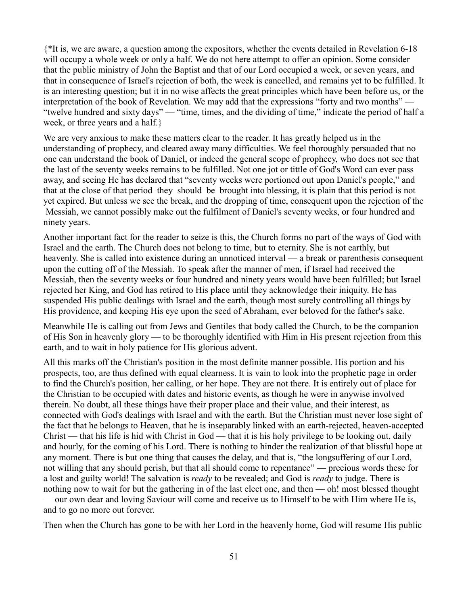{\*It is, we are aware, a question among the expositors, whether the events detailed in Revelation 6-18 will occupy a whole week or only a half. We do not here attempt to offer an opinion. Some consider that the public ministry of John the Baptist and that of our Lord occupied a week, or seven years, and that in consequence of Israel's rejection of both, the week is cancelled, and remains yet to be fulfilled. It is an interesting question; but it in no wise affects the great principles which have been before us, or the interpretation of the book of Revelation. We may add that the expressions "forty and two months" — "twelve hundred and sixty days" — "time, times, and the dividing of time," indicate the period of half a week, or three years and a half.}

We are very anxious to make these matters clear to the reader. It has greatly helped us in the understanding of prophecy, and cleared away many difficulties. We feel thoroughly persuaded that no one can understand the book of Daniel, or indeed the general scope of prophecy, who does not see that the last of the seventy weeks remains to be fulfilled. Not one jot or tittle of God's Word can ever pass away, and seeing He has declared that "seventy weeks were portioned out upon Daniel's people," and that at the close of that period they should be brought into blessing, it is plain that this period is not yet expired. But unless we see the break, and the dropping of time, consequent upon the rejection of the Messiah, we cannot possibly make out the fulfilment of Daniel's seventy weeks, or four hundred and ninety years.

Another important fact for the reader to seize is this, the Church forms no part of the ways of God with Israel and the earth. The Church does not belong to time, but to eternity. She is not earthly, but heavenly. She is called into existence during an unnoticed interval — a break or parenthesis consequent upon the cutting off of the Messiah. To speak after the manner of men, if Israel had received the Messiah, then the seventy weeks or four hundred and ninety years would have been fulfilled; but Israel rejected her King, and God has retired to His place until they acknowledge their iniquity. He has suspended His public dealings with Israel and the earth, though most surely controlling all things by His providence, and keeping His eye upon the seed of Abraham, ever beloved for the father's sake.

Meanwhile He is calling out from Jews and Gentiles that body called the Church, to be the companion of His Son in heavenly glory — to be thoroughly identified with Him in His present rejection from this earth, and to wait in holy patience for His glorious advent.

All this marks off the Christian's position in the most definite manner possible. His portion and his prospects, too, are thus defined with equal clearness. It is vain to look into the prophetic page in order to find the Church's position, her calling, or her hope. They are not there. It is entirely out of place for the Christian to be occupied with dates and historic events, as though he were in anywise involved therein. No doubt, all these things have their proper place and their value, and their interest, as connected with God's dealings with Israel and with the earth. But the Christian must never lose sight of the fact that he belongs to Heaven, that he is inseparably linked with an earth-rejected, heaven-accepted Christ — that his life is hid with Christ in God — that it is his holy privilege to be looking out, daily and hourly, for the coming of his Lord. There is nothing to hinder the realization of that blissful hope at any moment. There is but one thing that causes the delay, and that is, "the longsuffering of our Lord, not willing that any should perish, but that all should come to repentance" — precious words these for a lost and guilty world! The salvation is *ready* to be revealed; and God is *ready* to judge. There is nothing now to wait for but the gathering in of the last elect one, and then — oh! most blessed thought — our own dear and loving Saviour will come and receive us to Himself to be with Him where He is, and to go no more out forever.

Then when the Church has gone to be with her Lord in the heavenly home, God will resume His public